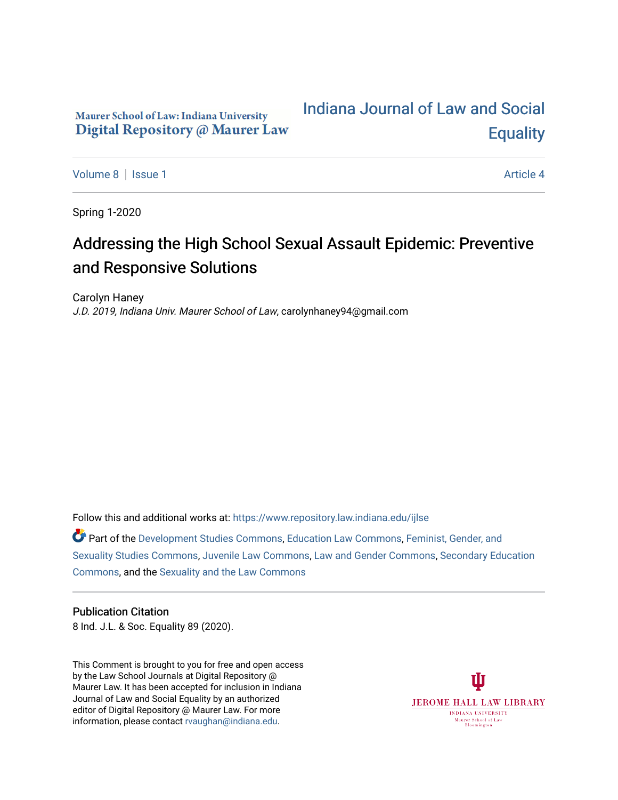# Maurer School of Law: Indiana University Digital Repository @ Maurer Law

# [Indiana Journal of Law and Social](https://www.repository.law.indiana.edu/ijlse)  **Equality**

[Volume 8](https://www.repository.law.indiana.edu/ijlse/vol8) | [Issue 1](https://www.repository.law.indiana.edu/ijlse/vol8/iss1) Article 4

Spring 1-2020

# Addressing the High School Sexual Assault Epidemic: Preventive and Responsive Solutions

Carolyn Haney J.D. 2019, Indiana Univ. Maurer School of Law, carolynhaney94@gmail.com

Follow this and additional works at: [https://www.repository.law.indiana.edu/ijlse](https://www.repository.law.indiana.edu/ijlse?utm_source=www.repository.law.indiana.edu%2Fijlse%2Fvol8%2Fiss1%2F4&utm_medium=PDF&utm_campaign=PDFCoverPages)

Part of the [Development Studies Commons,](http://network.bepress.com/hgg/discipline/1422?utm_source=www.repository.law.indiana.edu%2Fijlse%2Fvol8%2Fiss1%2F4&utm_medium=PDF&utm_campaign=PDFCoverPages) [Education Law Commons](http://network.bepress.com/hgg/discipline/596?utm_source=www.repository.law.indiana.edu%2Fijlse%2Fvol8%2Fiss1%2F4&utm_medium=PDF&utm_campaign=PDFCoverPages), [Feminist, Gender, and](http://network.bepress.com/hgg/discipline/559?utm_source=www.repository.law.indiana.edu%2Fijlse%2Fvol8%2Fiss1%2F4&utm_medium=PDF&utm_campaign=PDFCoverPages)  [Sexuality Studies Commons](http://network.bepress.com/hgg/discipline/559?utm_source=www.repository.law.indiana.edu%2Fijlse%2Fvol8%2Fiss1%2F4&utm_medium=PDF&utm_campaign=PDFCoverPages), [Juvenile Law Commons,](http://network.bepress.com/hgg/discipline/851?utm_source=www.repository.law.indiana.edu%2Fijlse%2Fvol8%2Fiss1%2F4&utm_medium=PDF&utm_campaign=PDFCoverPages) [Law and Gender Commons,](http://network.bepress.com/hgg/discipline/1298?utm_source=www.repository.law.indiana.edu%2Fijlse%2Fvol8%2Fiss1%2F4&utm_medium=PDF&utm_campaign=PDFCoverPages) [Secondary Education](http://network.bepress.com/hgg/discipline/1382?utm_source=www.repository.law.indiana.edu%2Fijlse%2Fvol8%2Fiss1%2F4&utm_medium=PDF&utm_campaign=PDFCoverPages)  [Commons](http://network.bepress.com/hgg/discipline/1382?utm_source=www.repository.law.indiana.edu%2Fijlse%2Fvol8%2Fiss1%2F4&utm_medium=PDF&utm_campaign=PDFCoverPages), and the [Sexuality and the Law Commons](http://network.bepress.com/hgg/discipline/877?utm_source=www.repository.law.indiana.edu%2Fijlse%2Fvol8%2Fiss1%2F4&utm_medium=PDF&utm_campaign=PDFCoverPages)

## Publication Citation

8 Ind. J.L. & Soc. Equality 89 (2020).

This Comment is brought to you for free and open access by the Law School Journals at Digital Repository @ Maurer Law. It has been accepted for inclusion in Indiana Journal of Law and Social Equality by an authorized editor of Digital Repository @ Maurer Law. For more information, please contact [rvaughan@indiana.edu](mailto:rvaughan@indiana.edu).

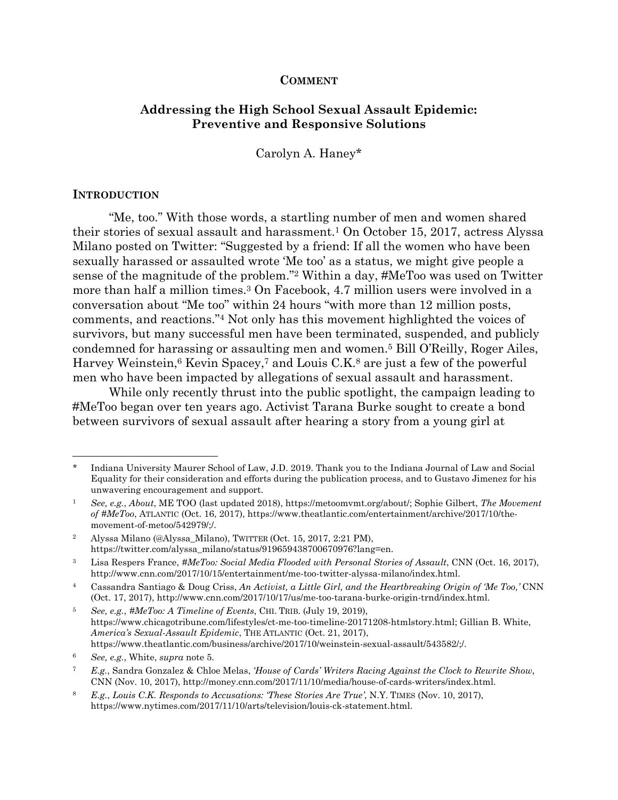## **COMMENT**

## **Addressing the High School Sexual Assault Epidemic: Preventive and Responsive Solutions**

Carolyn A. Haney\*

## **INTRODUCTION**

 $\overline{a}$ 

 "Me, too." With those words, a startling number of men and women shared their stories of sexual assault and harassment.1 On October 15, 2017, actress Alyssa Milano posted on Twitter: "Suggested by a friend: If all the women who have been sexually harassed or assaulted wrote 'Me too' as a status, we might give people a sense of the magnitude of the problem."2 Within a day, #MeToo was used on Twitter more than half a million times.3 On Facebook, 4.7 million users were involved in a conversation about "Me too" within 24 hours "with more than 12 million posts, comments, and reactions."4 Not only has this movement highlighted the voices of survivors, but many successful men have been terminated, suspended, and publicly condemned for harassing or assaulting men and women.5 Bill O'Reilly, Roger Ailes, Harvey Weinstein,<sup>6</sup> Kevin Spacey,<sup>7</sup> and Louis C.K.<sup>8</sup> are just a few of the powerful men who have been impacted by allegations of sexual assault and harassment.

While only recently thrust into the public spotlight, the campaign leading to #MeToo began over ten years ago. Activist Tarana Burke sought to create a bond between survivors of sexual assault after hearing a story from a young girl at

5 *See, e.g.*, *#MeToo: A Timeline of Events*, CHI. TRIB. (July 19, 2019), https://www.chicagotribune.com/lifestyles/ct-me-too-timeline-20171208-htmlstory.html; Gillian B. White, *America's Sexual-Assault Epidemic*, THE ATLANTIC (Oct. 21, 2017), https://www.theatlantic.com/business/archive/2017/10/weinstein-sexual-assault/543582/;/.

Indiana University Maurer School of Law, J.D. 2019. Thank you to the Indiana Journal of Law and Social Equality for their consideration and efforts during the publication process, and to Gustavo Jimenez for his unwavering encouragement and support.

<sup>1</sup> *See, e.g.*, *About*, ME TOO (last updated 2018), https://metoomvmt.org/about/; Sophie Gilbert, *The Movement of #MeToo*, ATLANTIC (Oct. 16, 2017), https://www.theatlantic.com/entertainment/archive/2017/10/themovement-of-metoo/542979/;/.

<sup>2</sup> Alyssa Milano (@Alyssa\_Milano), TWITTER (Oct. 15, 2017, 2:21 PM), https://twitter.com/alyssa\_milano/status/919659438700670976?lang=en.

<sup>&</sup>lt;sup>3</sup> Lisa Respers France, *#MeToo: Social Media Flooded with Personal Stories of Assault*, CNN (Oct. 16, 2017), http://www.cnn.com/2017/10/15/entertainment/me-too-twitter-alyssa-milano/index.html.

<sup>4</sup> Cassandra Santiago & Doug Criss, *An Activist, a Little Girl, and the Heartbreaking Origin of 'Me Too,'* CNN (Oct. 17, 2017), http://www.cnn.com/2017/10/17/us/me-too-tarana-burke-origin-trnd/index.html.

<sup>6</sup> *See, e.g.*, White, *supra* note 5.

<sup>7</sup> *E.g.*, Sandra Gonzalez & Chloe Melas, *'House of Cards' Writers Racing Against the Clock to Rewrite Show*, CNN (Nov. 10, 2017), http://money.cnn.com/2017/11/10/media/house-of-cards-writers/index.html.

<sup>8</sup> *E.g.*, *Louis C.K. Responds to Accusations: 'These Stories Are True'*, N.Y. TIMES (Nov. 10, 2017), https://www.nytimes.com/2017/11/10/arts/television/louis-ck-statement.html.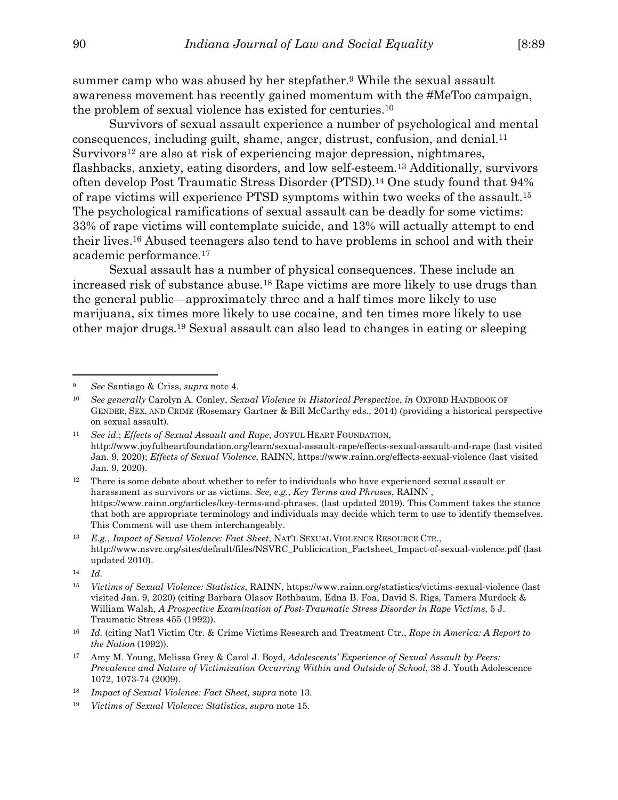summer camp who was abused by her stepfather.9 While the sexual assault awareness movement has recently gained momentum with the #MeToo campaign, the problem of sexual violence has existed for centuries.10

Survivors of sexual assault experience a number of psychological and mental consequences, including guilt, shame, anger, distrust, confusion, and denial.11 Survivors12 are also at risk of experiencing major depression, nightmares, flashbacks, anxiety, eating disorders, and low self-esteem.13 Additionally, survivors often develop Post Traumatic Stress Disorder (PTSD).14 One study found that 94% of rape victims will experience PTSD symptoms within two weeks of the assault.15 The psychological ramifications of sexual assault can be deadly for some victims: 33% of rape victims will contemplate suicide, and 13% will actually attempt to end their lives.16 Abused teenagers also tend to have problems in school and with their academic performance.17

Sexual assault has a number of physical consequences. These include an increased risk of substance abuse.18 Rape victims are more likely to use drugs than the general public—approximately three and a half times more likely to use marijuana, six times more likely to use cocaine, and ten times more likely to use other major drugs.19 Sexual assault can also lead to changes in eating or sleeping

<sup>9</sup> *See* Santiago & Criss, *supra* note 4.

<sup>10</sup> *See generally* Carolyn A. Conley, *Sexual Violence in Historical Perspective*, *in* OXFORD HANDBOOK OF GENDER, SEX, AND CRIME (Rosemary Gartner & Bill McCarthy eds., 2014) (providing a historical perspective on sexual assault).

<sup>11</sup> *See id.*; *Effects of Sexual Assault and Rape*, JOYFUL HEART FOUNDATION, http://www.joyfulheartfoundation.org/learn/sexual-assault-rape/effects-sexual-assault-and-rape (last visited Jan. 9, 2020); *Effects of Sexual Violence*, RAINN, https://www.rainn.org/effects-sexual-violence (last visited Jan. 9, 2020).

<sup>&</sup>lt;sup>12</sup> There is some debate about whether to refer to individuals who have experienced sexual assault or harassment as survivors or as victims. *See, e.g.*, *Key Terms and Phrases*, RAINN , https://www.rainn.org/articles/key-terms-and-phrases. (last updated 2019). This Comment takes the stance that both are appropriate terminology and individuals may decide which term to use to identify themselves. This Comment will use them interchangeably.

<sup>13</sup> *E.g.*, *Impact of Sexual Violence: Fact Sheet*, NAT'L SEXUAL VIOLENCE RESOURCE CTR., http://www.nsvrc.org/sites/default/files/NSVRC\_Publicication\_Factsheet\_Impact-of-sexual-violence.pdf (last updated 2010).

<sup>14</sup> *Id.*

<sup>15</sup> *Victims of Sexual Violence: Statistics*, RAINN, https://www.rainn.org/statistics/victims-sexual-violence (last visited Jan. 9, 2020) (citing Barbara Olasov Rothbaum, Edna B. Foa, David S. Rigs, Tamera Murdock & William Walsh, *A Prospective Examination of Post-Traumatic Stress Disorder in Rape Victims*, 5 J. Traumatic Stress 455 (1992)).

<sup>16</sup> *Id.* (citing Nat'l Victim Ctr. & Crime Victims Research and Treatment Ctr., *Rape in America: A Report to the Nation* (1992)).

<sup>17</sup> Amy M. Young, Melissa Grey & Carol J. Boyd, *Adolescents' Experience of Sexual Assault by Peers: Prevalence and Nature of Victimization Occurring Within and Outside of School*, 38 J. Youth Adolescence 1072, 1073-74 (2009).

<sup>18</sup> *Impact of Sexual Violence: Fact Sheet, supra* note 13*.*

<sup>19</sup> *Victims of Sexual Violence: Statistics*, *supra* note 15.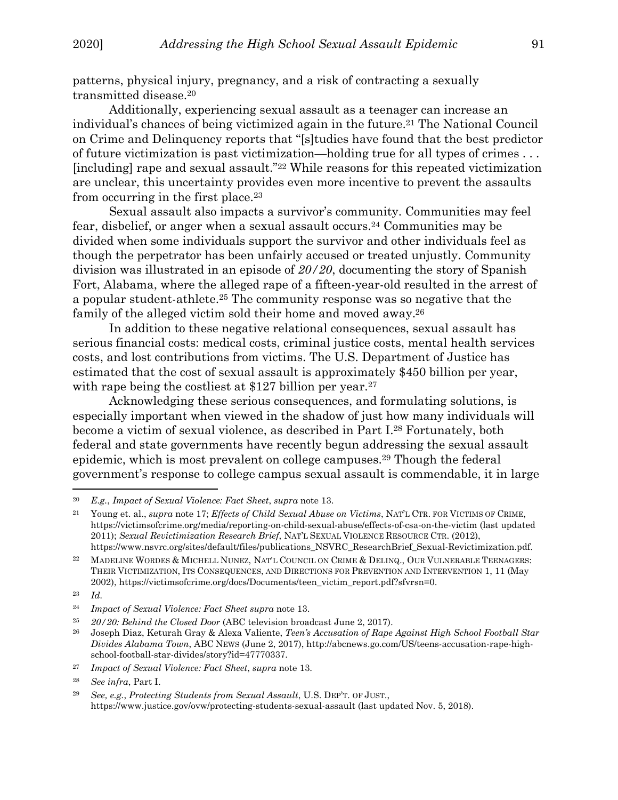patterns, physical injury, pregnancy, and a risk of contracting a sexually transmitted disease.20

 Additionally, experiencing sexual assault as a teenager can increase an individual's chances of being victimized again in the future.21 The National Council on Crime and Delinquency reports that "[s]tudies have found that the best predictor of future victimization is past victimization—holding true for all types of crimes . . . [including] rape and sexual assault."22 While reasons for this repeated victimization are unclear, this uncertainty provides even more incentive to prevent the assaults from occurring in the first place.23

 Sexual assault also impacts a survivor's community. Communities may feel fear, disbelief, or anger when a sexual assault occurs.24 Communities may be divided when some individuals support the survivor and other individuals feel as though the perpetrator has been unfairly accused or treated unjustly. Community division was illustrated in an episode of *20/20*, documenting the story of Spanish Fort, Alabama, where the alleged rape of a fifteen-year-old resulted in the arrest of a popular student-athlete.25 The community response was so negative that the family of the alleged victim sold their home and moved away.26

In addition to these negative relational consequences, sexual assault has serious financial costs: medical costs, criminal justice costs, mental health services costs, and lost contributions from victims. The U.S. Department of Justice has estimated that the cost of sexual assault is approximately \$450 billion per year, with rape being the costliest at \$127 billion per year.<sup>27</sup>

 Acknowledging these serious consequences, and formulating solutions, is especially important when viewed in the shadow of just how many individuals will become a victim of sexual violence, as described in Part I.28 Fortunately, both federal and state governments have recently begun addressing the sexual assault epidemic, which is most prevalent on college campuses.29 Though the federal government's response to college campus sexual assault is commendable, it in large

<sup>20</sup> *E.g.*, *Impact of Sexual Violence: Fact Sheet*, *supra* note 13.

<sup>21</sup> Young et. al., *supra* note 17; *Effects of Child Sexual Abuse on Victims*, NAT'L CTR. FOR VICTIMS OF CRIME, https://victimsofcrime.org/media/reporting-on-child-sexual-abuse/effects-of-csa-on-the-victim (last updated 2011); *Sexual Revictimization Research Brief*, NAT'L SEXUAL VIOLENCE RESOURCE CTR. (2012), https://www.nsvrc.org/sites/default/files/publications\_NSVRC\_ResearchBrief\_Sexual-Revictimization.pdf.

<sup>&</sup>lt;sup>22</sup> MADELINE WORDES & MICHELL NUNEZ, NAT'L COUNCIL ON CRIME & DELINQ., OUR VULNERABLE TEENAGERS: THEIR VICTIMIZATION, ITS CONSEQUENCES, AND DIRECTIONS FOR PREVENTION AND INTERVENTION 1, 11 (May 2002), https://victimsofcrime.org/docs/Documents/teen\_victim\_report.pdf?sfvrsn=0.

<sup>23</sup> *Id.*

<sup>24</sup> *Impact of Sexual Violence: Fact Sheet supra* note 13.

<sup>25</sup>*20/20: Behind the Closed Door* (ABC television broadcast June 2, 2017). 26 Joseph Diaz, Keturah Gray & Alexa Valiente, *Teen's Accusation of Rape Against High School Football Star Divides Alabama Town*, ABC NEWS (June 2, 2017), http://abcnews.go.com/US/teens-accusation-rape-highschool-football-star-divides/story?id=47770337.

<sup>27</sup> *Impact of Sexual Violence: Fact Sheet*, *supra* note 13.

<sup>28</sup> *See infra*, Part I.

<sup>29</sup> *See, e.g.*, *Protecting Students from Sexual Assault*, U.S. DEP'T. OF JUST., https://www.justice.gov/ovw/protecting-students-sexual-assault (last updated Nov. 5, 2018).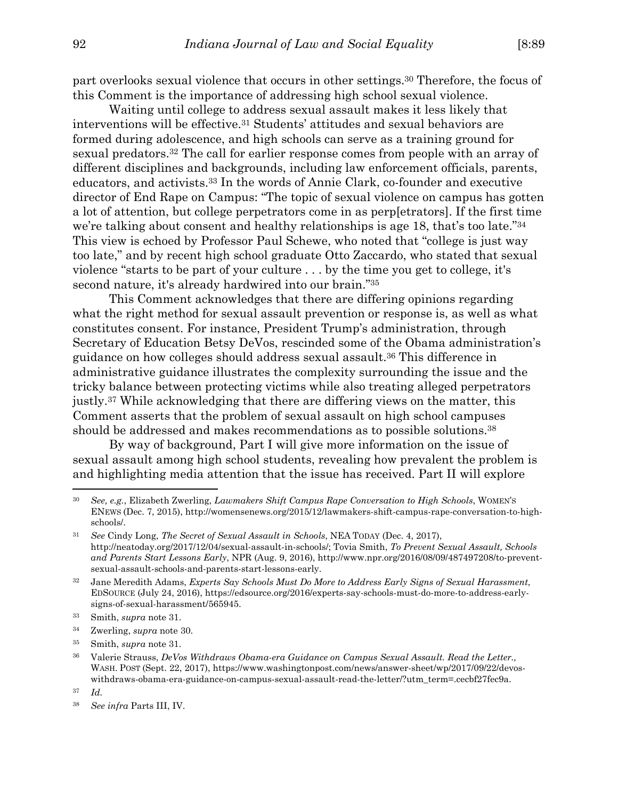part overlooks sexual violence that occurs in other settings.30 Therefore, the focus of this Comment is the importance of addressing high school sexual violence.

Waiting until college to address sexual assault makes it less likely that interventions will be effective.31 Students' attitudes and sexual behaviors are formed during adolescence, and high schools can serve as a training ground for sexual predators.32 The call for earlier response comes from people with an array of different disciplines and backgrounds, including law enforcement officials, parents, educators, and activists.33 In the words of Annie Clark, co-founder and executive director of End Rape on Campus: "The topic of sexual violence on campus has gotten a lot of attention, but college perpetrators come in as perp[etrators]. If the first time we're talking about consent and healthy relationships is age 18, that's too late."34 This view is echoed by Professor Paul Schewe, who noted that "college is just way too late," and by recent high school graduate Otto Zaccardo, who stated that sexual violence "starts to be part of your culture . . . by the time you get to college, it's second nature, it's already hardwired into our brain."35

 This Comment acknowledges that there are differing opinions regarding what the right method for sexual assault prevention or response is, as well as what constitutes consent. For instance, President Trump's administration, through Secretary of Education Betsy DeVos, rescinded some of the Obama administration's guidance on how colleges should address sexual assault.36 This difference in administrative guidance illustrates the complexity surrounding the issue and the tricky balance between protecting victims while also treating alleged perpetrators justly.37 While acknowledging that there are differing views on the matter, this Comment asserts that the problem of sexual assault on high school campuses should be addressed and makes recommendations as to possible solutions.38

By way of background, Part I will give more information on the issue of sexual assault among high school students, revealing how prevalent the problem is and highlighting media attention that the issue has received. Part II will explore

<sup>30</sup> *See, e.g.*, Elizabeth Zwerling, *Lawmakers Shift Campus Rape Conversation to High Schools*, WOMEN'S ENEWS (Dec. 7, 2015), http://womensenews.org/2015/12/lawmakers-shift-campus-rape-conversation-to-highschools/.

<sup>31</sup> *See* Cindy Long, *The Secret of Sexual Assault in Schools*, NEA TODAY (Dec. 4, 2017), http://neatoday.org/2017/12/04/sexual-assault-in-schools/; Tovia Smith, *To Prevent Sexual Assault, Schools and Parents Start Lessons Early*, NPR (Aug. 9, 2016), http://www.npr.org/2016/08/09/487497208/to-preventsexual-assault-schools-and-parents-start-lessons-early.

<sup>32</sup> Jane Meredith Adams, *Experts Say Schools Must Do More to Address Early Signs of Sexual Harassment*, EDSOURCE (July 24, 2016), https://edsource.org/2016/experts-say-schools-must-do-more-to-address-earlysigns-of-sexual-harassment/565945.

<sup>33</sup> Smith, *supra* note 31.

<sup>34</sup> Zwerling, *supra* note 30.

<sup>35</sup> Smith, *supra* note 31.

<sup>36</sup> Valerie Strauss, *DeVos Withdraws Obama-era Guidance on Campus Sexual Assault. Read the Letter.,* WASH. POST (Sept. 22, 2017), https://www.washingtonpost.com/news/answer-sheet/wp/2017/09/22/devoswithdraws-obama-era-guidance-on-campus-sexual-assault-read-the-letter/?utm\_term=.cecbf27fec9a.

<sup>37</sup> *Id.*

<sup>38</sup> *See infra* Parts III, IV.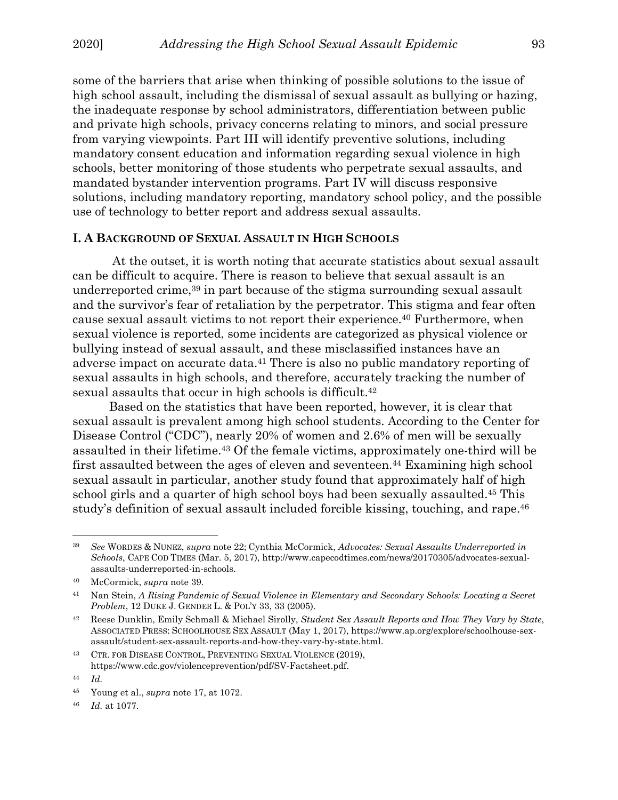some of the barriers that arise when thinking of possible solutions to the issue of high school assault, including the dismissal of sexual assault as bullying or hazing, the inadequate response by school administrators, differentiation between public and private high schools, privacy concerns relating to minors, and social pressure from varying viewpoints. Part III will identify preventive solutions, including mandatory consent education and information regarding sexual violence in high schools, better monitoring of those students who perpetrate sexual assaults, and mandated bystander intervention programs. Part IV will discuss responsive solutions, including mandatory reporting, mandatory school policy, and the possible use of technology to better report and address sexual assaults.

## **I. A BACKGROUND OF SEXUAL ASSAULT IN HIGH SCHOOLS**

 At the outset, it is worth noting that accurate statistics about sexual assault can be difficult to acquire. There is reason to believe that sexual assault is an underreported crime,<sup>39</sup> in part because of the stigma surrounding sexual assault and the survivor's fear of retaliation by the perpetrator. This stigma and fear often cause sexual assault victims to not report their experience.40 Furthermore, when sexual violence is reported, some incidents are categorized as physical violence or bullying instead of sexual assault, and these misclassified instances have an adverse impact on accurate data.41 There is also no public mandatory reporting of sexual assaults in high schools, and therefore, accurately tracking the number of sexual assaults that occur in high schools is difficult.42

Based on the statistics that have been reported, however, it is clear that sexual assault is prevalent among high school students. According to the Center for Disease Control ("CDC"), nearly 20% of women and 2.6% of men will be sexually assaulted in their lifetime.43 Of the female victims, approximately one-third will be first assaulted between the ages of eleven and seventeen.44 Examining high school sexual assault in particular, another study found that approximately half of high school girls and a quarter of high school boys had been sexually assaulted.45 This study's definition of sexual assault included forcible kissing, touching, and rape.46

<sup>39</sup> *See* WORDES & NUNEZ, *supra* note 22; Cynthia McCormick, *Advocates: Sexual Assaults Underreported in Schools*, CAPE COD TIMES (Mar. 5, 2017), http://www.capecodtimes.com/news/20170305/advocates-sexualassaults-underreported-in-schools.

<sup>40</sup> McCormick, *supra* note 39.

<sup>41</sup> Nan Stein, *A Rising Pandemic of Sexual Violence in Elementary and Secondary Schools: Locating a Secret Problem*, 12 DUKE J. GENDER L. & POL'Y 33, 33 (2005).

<sup>42</sup> Reese Dunklin, Emily Schmall & Michael Sirolly, *Student Sex Assault Reports and How They Vary by State*, ASSOCIATED PRESS: SCHOOLHOUSE SEX ASSAULT (May 1, 2017), https://www.ap.org/explore/schoolhouse-sexassault/student-sex-assault-reports-and-how-they-vary-by-state.html.

<sup>43</sup> CTR. FOR DISEASE CONTROL, PREVENTING SEXUAL VIOLENCE (2019), https://www.cdc.gov/violenceprevention/pdf/SV-Factsheet.pdf.

<sup>44</sup> *Id.*

<sup>45</sup> Young et al., *supra* note 17, at 1072.

<sup>46</sup> *Id.* at 1077.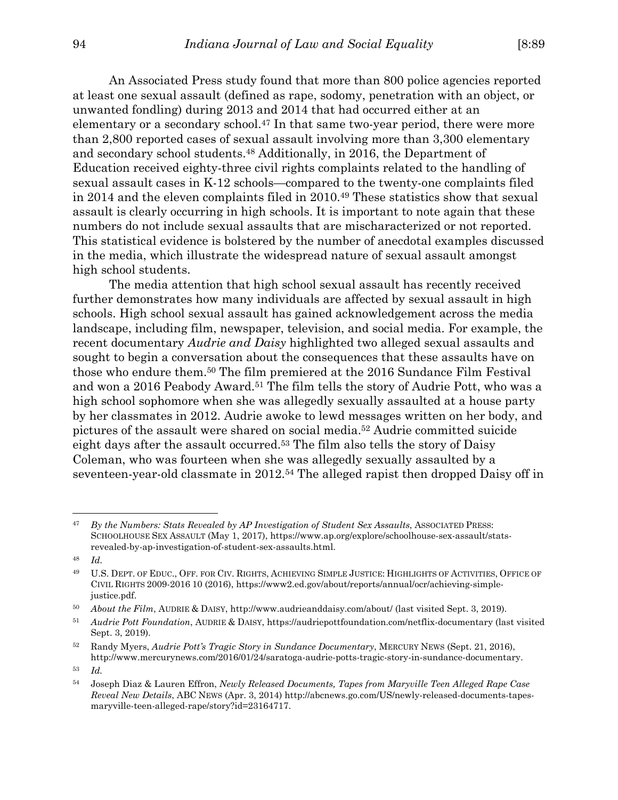An Associated Press study found that more than 800 police agencies reported at least one sexual assault (defined as rape, sodomy, penetration with an object, or unwanted fondling) during 2013 and 2014 that had occurred either at an elementary or a secondary school.<sup>47</sup> In that same two-year period, there were more than 2,800 reported cases of sexual assault involving more than 3,300 elementary and secondary school students.48 Additionally, in 2016, the Department of Education received eighty-three civil rights complaints related to the handling of sexual assault cases in K-12 schools—compared to the twenty-one complaints filed in 2014 and the eleven complaints filed in 2010.49 These statistics show that sexual assault is clearly occurring in high schools. It is important to note again that these numbers do not include sexual assaults that are mischaracterized or not reported. This statistical evidence is bolstered by the number of anecdotal examples discussed in the media, which illustrate the widespread nature of sexual assault amongst high school students.

 The media attention that high school sexual assault has recently received further demonstrates how many individuals are affected by sexual assault in high schools. High school sexual assault has gained acknowledgement across the media landscape, including film, newspaper, television, and social media. For example, the recent documentary *Audrie and Daisy* highlighted two alleged sexual assaults and sought to begin a conversation about the consequences that these assaults have on those who endure them.50 The film premiered at the 2016 Sundance Film Festival and won a 2016 Peabody Award.51 The film tells the story of Audrie Pott, who was a high school sophomore when she was allegedly sexually assaulted at a house party by her classmates in 2012. Audrie awoke to lewd messages written on her body, and pictures of the assault were shared on social media.52 Audrie committed suicide eight days after the assault occurred.53 The film also tells the story of Daisy Coleman, who was fourteen when she was allegedly sexually assaulted by a seventeen-year-old classmate in 2012.54 The alleged rapist then dropped Daisy off in

-

<sup>47</sup> *By the Numbers: Stats Revealed by AP Investigation of Student Sex Assaults*, ASSOCIATED PRESS: SCHOOLHOUSE SEX ASSAULT (May 1, 2017), https://www.ap.org/explore/schoolhouse-sex-assault/statsrevealed-by-ap-investigation-of-student-sex-assaults.html.

<sup>48</sup> *Id.*

<sup>49</sup> U.S. DEPT. OF EDUC., OFF. FOR CIV. RIGHTS, ACHIEVING SIMPLE JUSTICE: HIGHLIGHTS OF ACTIVITIES, OFFICE OF CIVIL RIGHTS 2009-2016 10 (2016), https://www2.ed.gov/about/reports/annual/ocr/achieving-simplejustice.pdf.

<sup>50</sup> *About the Film*, AUDRIE & DAISY, http://www.audrieanddaisy.com/about/ (last visited Sept. 3, 2019).

<sup>51</sup> *Audrie Pott Foundation*, AUDRIE & DAISY, https://audriepottfoundation.com/netflix-documentary (last visited Sept. 3, 2019).

<sup>52</sup> Randy Myers, *Audrie Pott's Tragic Story in Sundance Documentary*, MERCURY NEWS (Sept. 21, 2016), http://www.mercurynews.com/2016/01/24/saratoga-audrie-potts-tragic-story-in-sundance-documentary.

<sup>53</sup> *Id.* 

<sup>54</sup> Joseph Diaz & Lauren Effron, *Newly Released Documents, Tapes from Maryville Teen Alleged Rape Case Reveal New Details*, ABC NEWS (Apr. 3, 2014) http://abcnews.go.com/US/newly-released-documents-tapesmaryville-teen-alleged-rape/story?id=23164717.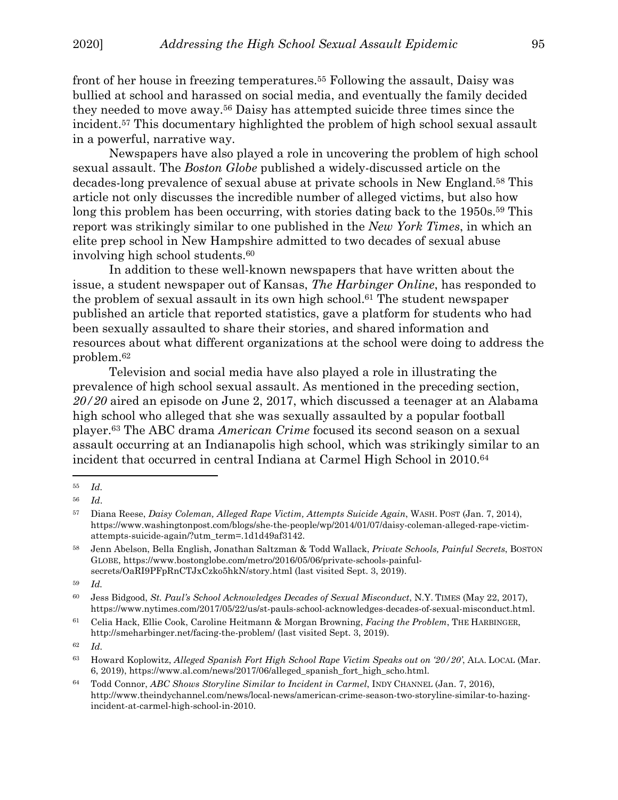front of her house in freezing temperatures.55 Following the assault, Daisy was bullied at school and harassed on social media, and eventually the family decided they needed to move away.56 Daisy has attempted suicide three times since the incident.57 This documentary highlighted the problem of high school sexual assault in a powerful, narrative way.

Newspapers have also played a role in uncovering the problem of high school sexual assault. The *Boston Globe* published a widely-discussed article on the decades-long prevalence of sexual abuse at private schools in New England.58 This article not only discusses the incredible number of alleged victims, but also how long this problem has been occurring, with stories dating back to the 1950s.<sup>59</sup> This report was strikingly similar to one published in the *New York Times*, in which an elite prep school in New Hampshire admitted to two decades of sexual abuse involving high school students.60

In addition to these well-known newspapers that have written about the issue, a student newspaper out of Kansas, *The Harbinger Online*, has responded to the problem of sexual assault in its own high school.61 The student newspaper published an article that reported statistics, gave a platform for students who had been sexually assaulted to share their stories, and shared information and resources about what different organizations at the school were doing to address the problem.62

Television and social media have also played a role in illustrating the prevalence of high school sexual assault. As mentioned in the preceding section, *20/20* aired an episode on June 2, 2017, which discussed a teenager at an Alabama high school who alleged that she was sexually assaulted by a popular football player.63 The ABC drama *American Crime* focused its second season on a sexual assault occurring at an Indianapolis high school, which was strikingly similar to an incident that occurred in central Indiana at Carmel High School in 2010.<sup>64</sup>

<sup>55</sup> *Id.*

<sup>56</sup> *Id*.

<sup>57</sup> Diana Reese, *Daisy Coleman, Alleged Rape Victim, Attempts Suicide Again*, WASH. POST (Jan. 7, 2014), https://www.washingtonpost.com/blogs/she-the-people/wp/2014/01/07/daisy-coleman-alleged-rape-victimattempts-suicide-again/?utm\_term=.1d1d49af3142.

<sup>58</sup> Jenn Abelson, Bella English, Jonathan Saltzman & Todd Wallack, *Private Schools, Painful Secrets*, BOSTON GLOBE, https://www.bostonglobe.com/metro/2016/05/06/private-schools-painfulsecrets/OaRI9PFpRnCTJxCzko5hkN/story.html (last visited Sept. 3, 2019).

<sup>59</sup> *Id.* 

<sup>60</sup> Jess Bidgood, *St. Paul's School Acknowledges Decades of Sexual Misconduct*, N.Y. TIMES (May 22, 2017), https://www.nytimes.com/2017/05/22/us/st-pauls-school-acknowledges-decades-of-sexual-misconduct.html.

<sup>61</sup> Celia Hack, Ellie Cook, Caroline Heitmann & Morgan Browning, *Facing the Problem*, THE HARBINGER, http://smeharbinger.net/facing-the-problem/ (last visited Sept. 3, 2019).

<sup>62</sup> *Id.*

<sup>63</sup> Howard Koplowitz, *Alleged Spanish Fort High School Rape Victim Speaks out on '20/20'*, ALA. LOCAL (Mar. 6, 2019), https://www.al.com/news/2017/06/alleged\_spanish\_fort\_high\_scho.html.

<sup>64</sup> Todd Connor, *ABC Shows Storyline Similar to Incident in Carmel*, INDY CHANNEL (Jan. 7, 2016), http://www.theindychannel.com/news/local-news/american-crime-season-two-storyline-similar-to-hazingincident-at-carmel-high-school-in-2010.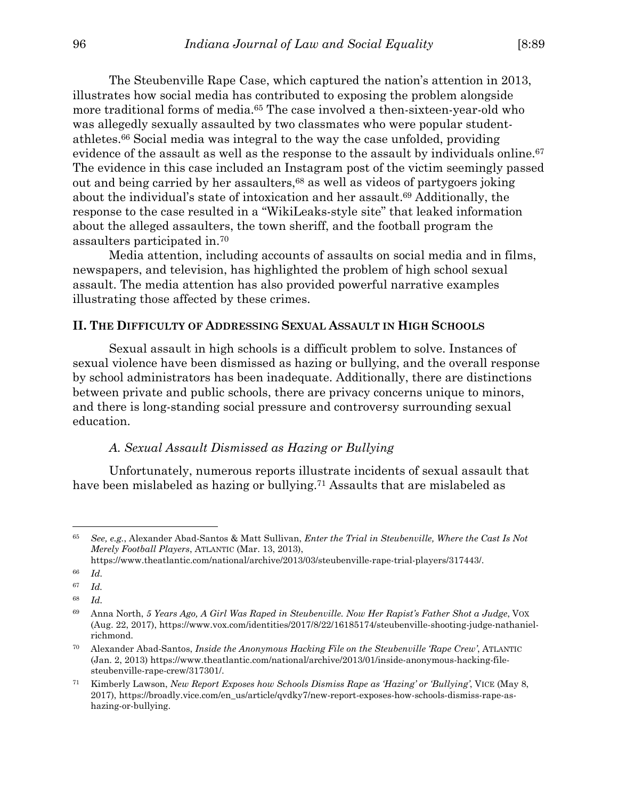The Steubenville Rape Case, which captured the nation's attention in 2013, illustrates how social media has contributed to exposing the problem alongside more traditional forms of media.<sup>65</sup> The case involved a then-sixteen-year-old who was allegedly sexually assaulted by two classmates who were popular studentathletes.66 Social media was integral to the way the case unfolded, providing evidence of the assault as well as the response to the assault by individuals online.<sup>67</sup> The evidence in this case included an Instagram post of the victim seemingly passed out and being carried by her assaulters,68 as well as videos of partygoers joking about the individual's state of intoxication and her assault.<sup>69</sup> Additionally, the response to the case resulted in a "WikiLeaks-style site" that leaked information about the alleged assaulters, the town sheriff, and the football program the assaulters participated in.70

Media attention, including accounts of assaults on social media and in films, newspapers, and television, has highlighted the problem of high school sexual assault. The media attention has also provided powerful narrative examples illustrating those affected by these crimes.

## **II. THE DIFFICULTY OF ADDRESSING SEXUAL ASSAULT IN HIGH SCHOOLS**

 Sexual assault in high schools is a difficult problem to solve. Instances of sexual violence have been dismissed as hazing or bullying, and the overall response by school administrators has been inadequate. Additionally, there are distinctions between private and public schools, there are privacy concerns unique to minors, and there is long-standing social pressure and controversy surrounding sexual education.

#### *A. Sexual Assault Dismissed as Hazing or Bullying*

Unfortunately, numerous reports illustrate incidents of sexual assault that have been mislabeled as hazing or bullying.71 Assaults that are mislabeled as

<sup>65</sup> *See, e.g.*, Alexander Abad-Santos & Matt Sullivan, *Enter the Trial in Steubenville, Where the Cast Is Not Merely Football Players*, ATLANTIC (Mar. 13, 2013),

https://www.theatlantic.com/national/archive/2013/03/steubenville-rape-trial-players/317443/.

<sup>66</sup> *Id.*

<sup>67</sup> *Id.* 

<sup>68</sup> *Id.*

<sup>69</sup> Anna North, *5 Years Ago, A Girl Was Raped in Steubenville. Now Her Rapist's Father Shot a Judge*, VOX (Aug. 22, 2017), https://www.vox.com/identities/2017/8/22/16185174/steubenville-shooting-judge-nathanielrichmond.

<sup>70</sup> Alexander Abad-Santos, *Inside the Anonymous Hacking File on the Steubenville 'Rape Crew'*, ATLANTIC (Jan. 2, 2013) https://www.theatlantic.com/national/archive/2013/01/inside-anonymous-hacking-filesteubenville-rape-crew/317301/.

<sup>71</sup> Kimberly Lawson, *New Report Exposes how Schools Dismiss Rape as 'Hazing' or 'Bullying'*, VICE (May 8, 2017), https://broadly.vice.com/en\_us/article/qvdky7/new-report-exposes-how-schools-dismiss-rape-ashazing-or-bullying.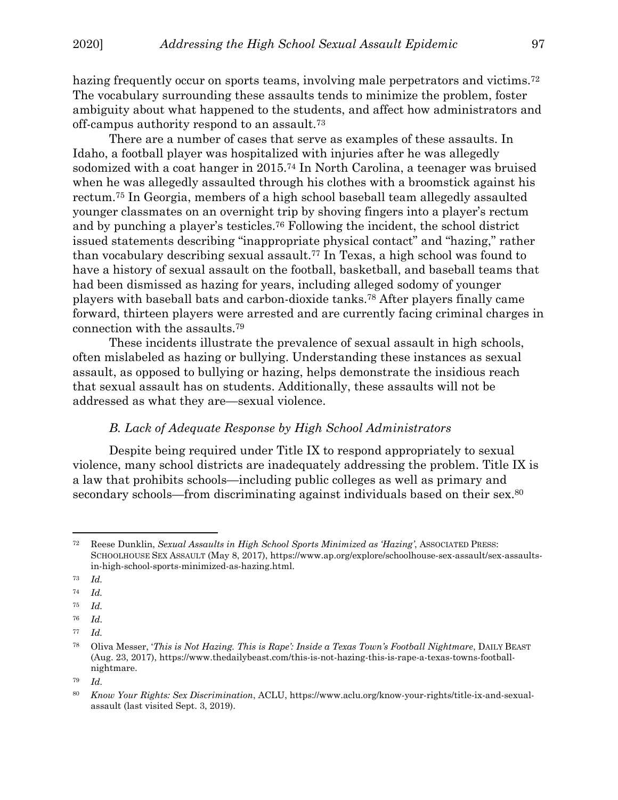hazing frequently occur on sports teams, involving male perpetrators and victims.<sup>72</sup> The vocabulary surrounding these assaults tends to minimize the problem, foster ambiguity about what happened to the students, and affect how administrators and off-campus authority respond to an assault.73

There are a number of cases that serve as examples of these assaults. In Idaho, a football player was hospitalized with injuries after he was allegedly sodomized with a coat hanger in 2015.74 In North Carolina, a teenager was bruised when he was allegedly assaulted through his clothes with a broomstick against his rectum.75 In Georgia, members of a high school baseball team allegedly assaulted younger classmates on an overnight trip by shoving fingers into a player's rectum and by punching a player's testicles.76 Following the incident, the school district issued statements describing "inappropriate physical contact" and "hazing," rather than vocabulary describing sexual assault.77 In Texas, a high school was found to have a history of sexual assault on the football, basketball, and baseball teams that had been dismissed as hazing for years, including alleged sodomy of younger players with baseball bats and carbon-dioxide tanks.78 After players finally came forward, thirteen players were arrested and are currently facing criminal charges in connection with the assaults.79

These incidents illustrate the prevalence of sexual assault in high schools, often mislabeled as hazing or bullying. Understanding these instances as sexual assault, as opposed to bullying or hazing, helps demonstrate the insidious reach that sexual assault has on students. Additionally, these assaults will not be addressed as what they are—sexual violence.

# *B. Lack of Adequate Response by High School Administrators*

Despite being required under Title IX to respond appropriately to sexual violence, many school districts are inadequately addressing the problem. Title IX is a law that prohibits schools—including public colleges as well as primary and secondary schools—from discriminating against individuals based on their sex.<sup>80</sup>

<sup>72</sup> Reese Dunklin, *Sexual Assaults in High School Sports Minimized as 'Hazing'*, ASSOCIATED PRESS: SCHOOLHOUSE SEX ASSAULT (May 8, 2017), https://www.ap.org/explore/schoolhouse-sex-assault/sex-assaultsin-high-school-sports-minimized-as-hazing.html.

<sup>73</sup> *Id.* 

<sup>74</sup> *Id.* 

<sup>75</sup> *Id.* 

<sup>76</sup> *Id.*

<sup>77</sup> *Id.* 

<sup>78</sup> Oliva Messer, '*This is Not Hazing. This is Rape': Inside a Texas Town's Football Nightmare*, DAILY BEAST (Aug. 23, 2017), https://www.thedailybeast.com/this-is-not-hazing-this-is-rape-a-texas-towns-footballnightmare.

<sup>79</sup> *Id.*

<sup>80</sup> *Know Your Rights: Sex Discrimination*, ACLU, https://www.aclu.org/know-your-rights/title-ix-and-sexualassault (last visited Sept. 3, 2019).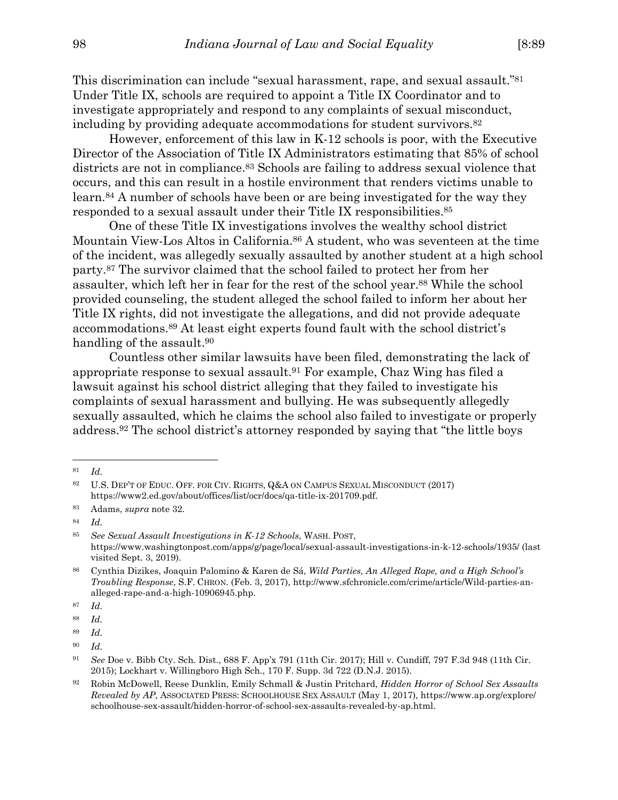This discrimination can include "sexual harassment, rape, and sexual assault."81 Under Title IX, schools are required to appoint a Title IX Coordinator and to investigate appropriately and respond to any complaints of sexual misconduct, including by providing adequate accommodations for student survivors.<sup>82</sup>

However, enforcement of this law in K-12 schools is poor, with the Executive Director of the Association of Title IX Administrators estimating that 85% of school districts are not in compliance.83 Schools are failing to address sexual violence that occurs, and this can result in a hostile environment that renders victims unable to learn.84 A number of schools have been or are being investigated for the way they responded to a sexual assault under their Title IX responsibilities.85

One of these Title IX investigations involves the wealthy school district Mountain View-Los Altos in California.86 A student, who was seventeen at the time of the incident, was allegedly sexually assaulted by another student at a high school party.87 The survivor claimed that the school failed to protect her from her assaulter, which left her in fear for the rest of the school year.88 While the school provided counseling, the student alleged the school failed to inform her about her Title IX rights, did not investigate the allegations, and did not provide adequate accommodations.89 At least eight experts found fault with the school district's handling of the assault.<sup>90</sup>

Countless other similar lawsuits have been filed, demonstrating the lack of appropriate response to sexual assault.91 For example, Chaz Wing has filed a lawsuit against his school district alleging that they failed to investigate his complaints of sexual harassment and bullying. He was subsequently allegedly sexually assaulted, which he claims the school also failed to investigate or properly address.92 The school district's attorney responded by saying that "the little boys

<sup>81</sup> *Id.*

<sup>82</sup> U.S. DEP'T OF EDUC. OFF. FOR CIV. RIGHTS, Q&A ON CAMPUS SEXUAL MISCONDUCT (2017) https://www2.ed.gov/about/offices/list/ocr/docs/qa-title-ix-201709.pdf.

<sup>83</sup> Adams, *supra* note 32.

<sup>84</sup> *Id.*

<sup>85</sup> *See Sexual Assault Investigations in K-12 Schools*, WASH. POST, https://www.washingtonpost.com/apps/g/page/local/sexual-assault-investigations-in-k-12-schools/1935/ (last visited Sept. 3, 2019).

<sup>86</sup> Cynthia Dizikes, Joaquin Palomino & Karen de Sá, *Wild Parties, An Alleged Rape, and a High School's Troubling Response*, S.F. CHRON. (Feb. 3, 2017), http://www.sfchronicle.com/crime/article/Wild-parties-analleged-rape-and-a-high-10906945.php.

<sup>87</sup> *Id.*

<sup>88</sup> *Id.*

<sup>89</sup> *Id.*

<sup>90</sup> *Id.*

<sup>91</sup> *See* Doe v. Bibb Cty. Sch. Dist., 688 F. App'x 791 (11th Cir. 2017); Hill v. Cundiff, 797 F.3d 948 (11th Cir. 2015); Lockhart v. Willingboro High Sch., 170 F. Supp. 3d 722 (D.N.J. 2015).

<sup>92</sup> Robin McDowell, Reese Dunklin, Emily Schmall & Justin Pritchard, *Hidden Horror of School Sex Assaults Revealed by AP*, ASSOCIATED PRESS: SCHOOLHOUSE SEX ASSAULT (May 1, 2017), https://www.ap.org/explore/ schoolhouse-sex-assault/hidden-horror-of-school-sex-assaults-revealed-by-ap.html.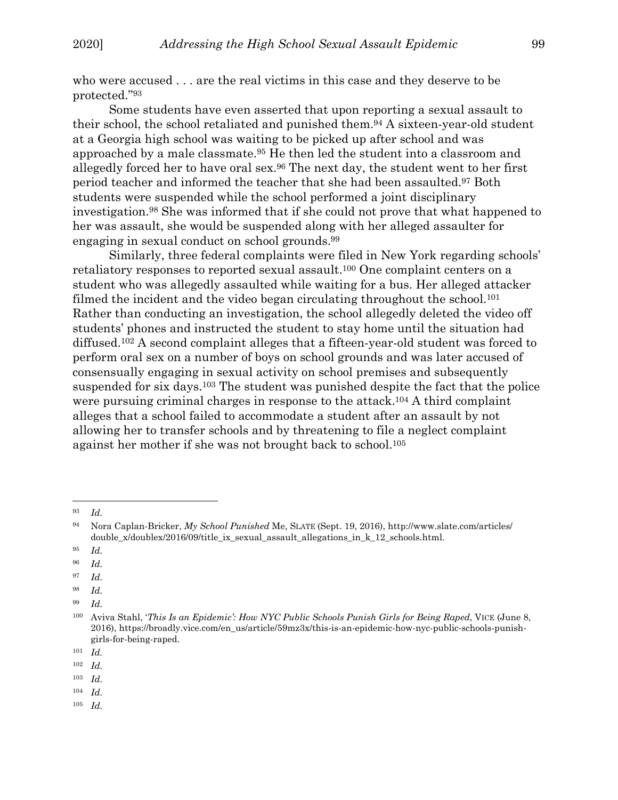who were accused . . . are the real victims in this case and they deserve to be protected."93

Some students have even asserted that upon reporting a sexual assault to their school, the school retaliated and punished them.94 A sixteen-year-old student at a Georgia high school was waiting to be picked up after school and was approached by a male classmate.95 He then led the student into a classroom and allegedly forced her to have oral sex.96 The next day, the student went to her first period teacher and informed the teacher that she had been assaulted.97 Both students were suspended while the school performed a joint disciplinary investigation.98 She was informed that if she could not prove that what happened to her was assault, she would be suspended along with her alleged assaulter for engaging in sexual conduct on school grounds.99

Similarly, three federal complaints were filed in New York regarding schools' retaliatory responses to reported sexual assault.100 One complaint centers on a student who was allegedly assaulted while waiting for a bus. Her alleged attacker filmed the incident and the video began circulating throughout the school.<sup>101</sup> Rather than conducting an investigation, the school allegedly deleted the video off students' phones and instructed the student to stay home until the situation had diffused.102 A second complaint alleges that a fifteen-year-old student was forced to perform oral sex on a number of boys on school grounds and was later accused of consensually engaging in sexual activity on school premises and subsequently suspended for six days.103 The student was punished despite the fact that the police were pursuing criminal charges in response to the attack.104 A third complaint alleges that a school failed to accommodate a student after an assault by not allowing her to transfer schools and by threatening to file a neglect complaint against her mother if she was not brought back to school.105

- 95 *Id.*
- 96 *Id.*
- 97 *Id.*
- 98 *Id.*
- 99 *Id.*

- 102 *Id.*
- 103 *Id.*
- 104 *Id.*
- 105 *Id.*

<sup>93</sup> *Id.*

<sup>94</sup> Nora Caplan-Bricker, *My School Punished* Me, SLATE (Sept. 19, 2016), http://www.slate.com/articles/ double\_x/doublex/2016/09/title\_ix\_sexual\_assault\_allegations\_in\_k\_12\_schools.html.

<sup>100</sup> Aviva Stahl, '*This Is an Epidemic': How NYC Public Schools Punish Girls for Being Raped*, VICE (June 8, 2016), https://broadly.vice.com/en\_us/article/59mz3x/this-is-an-epidemic-how-nyc-public-schools-punishgirls-for-being-raped.

<sup>101</sup> *Id.*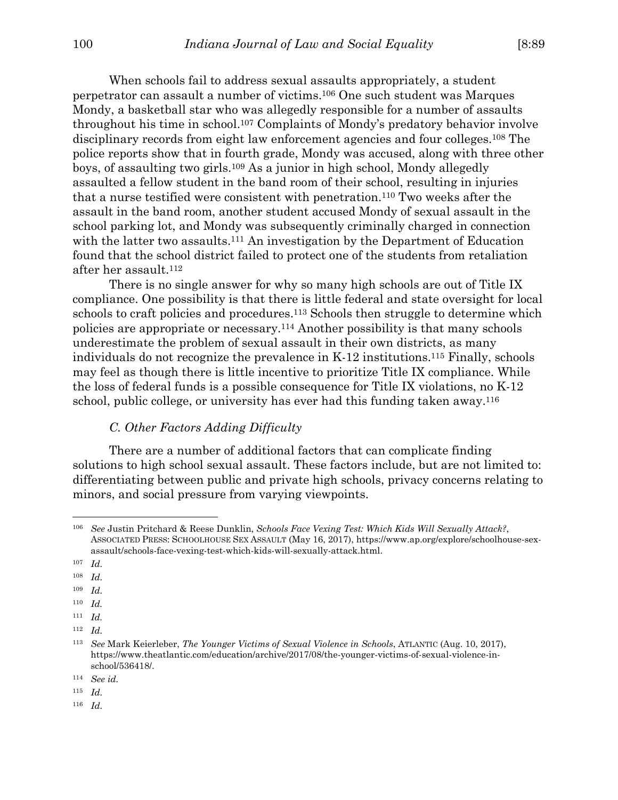When schools fail to address sexual assaults appropriately, a student perpetrator can assault a number of victims.106 One such student was Marques Mondy, a basketball star who was allegedly responsible for a number of assaults throughout his time in school.107 Complaints of Mondy's predatory behavior involve disciplinary records from eight law enforcement agencies and four colleges.108 The police reports show that in fourth grade, Mondy was accused, along with three other boys, of assaulting two girls.109 As a junior in high school, Mondy allegedly assaulted a fellow student in the band room of their school, resulting in injuries that a nurse testified were consistent with penetration.110 Two weeks after the assault in the band room, another student accused Mondy of sexual assault in the school parking lot, and Mondy was subsequently criminally charged in connection with the latter two assaults.<sup>111</sup> An investigation by the Department of Education found that the school district failed to protect one of the students from retaliation after her assault.112

There is no single answer for why so many high schools are out of Title IX compliance. One possibility is that there is little federal and state oversight for local schools to craft policies and procedures.113 Schools then struggle to determine which policies are appropriate or necessary.114 Another possibility is that many schools underestimate the problem of sexual assault in their own districts, as many individuals do not recognize the prevalence in K-12 institutions.115 Finally, schools may feel as though there is little incentive to prioritize Title IX compliance. While the loss of federal funds is a possible consequence for Title IX violations, no K-12 school, public college, or university has ever had this funding taken away.116

# *C. Other Factors Adding Difficulty*

There are a number of additional factors that can complicate finding solutions to high school sexual assault. These factors include, but are not limited to: differentiating between public and private high schools, privacy concerns relating to minors, and social pressure from varying viewpoints.

107 *Id.*

 $\overline{a}$ 

108 *Id.*

109 *Id.*

- 110 *Id.*
- 111 *Id.*

115 *Id.*

116 *Id.*

<sup>106</sup> *See* Justin Pritchard & Reese Dunklin, *Schools Face Vexing Test: Which Kids Will Sexually Attack?*, ASSOCIATED PRESS: SCHOOLHOUSE SEX ASSAULT (May 16, 2017), https://www.ap.org/explore/schoolhouse-sexassault/schools-face-vexing-test-which-kids-will-sexually-attack.html.

<sup>112</sup> *Id.*

<sup>113</sup> *See* Mark Keierleber, *The Younger Victims of Sexual Violence in Schools*, ATLANTIC (Aug. 10, 2017), https://www.theatlantic.com/education/archive/2017/08/the-younger-victims-of-sexual-violence-inschool/536418/.

<sup>114</sup> *See id.*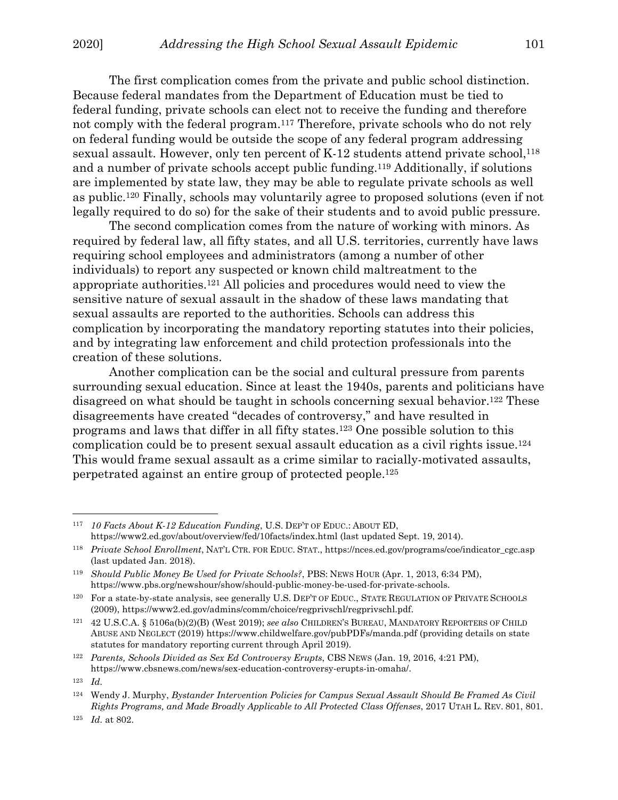The first complication comes from the private and public school distinction. Because federal mandates from the Department of Education must be tied to federal funding, private schools can elect not to receive the funding and therefore not comply with the federal program.117 Therefore, private schools who do not rely on federal funding would be outside the scope of any federal program addressing sexual assault. However, only ten percent of  $K-12$  students attend private school,  $^{118}$ and a number of private schools accept public funding.119 Additionally, if solutions are implemented by state law, they may be able to regulate private schools as well as public.120 Finally, schools may voluntarily agree to proposed solutions (even if not legally required to do so) for the sake of their students and to avoid public pressure.

 The second complication comes from the nature of working with minors. As required by federal law, all fifty states, and all U.S. territories, currently have laws requiring school employees and administrators (among a number of other individuals) to report any suspected or known child maltreatment to the appropriate authorities.121 All policies and procedures would need to view the sensitive nature of sexual assault in the shadow of these laws mandating that sexual assaults are reported to the authorities. Schools can address this complication by incorporating the mandatory reporting statutes into their policies, and by integrating law enforcement and child protection professionals into the creation of these solutions.

 Another complication can be the social and cultural pressure from parents surrounding sexual education. Since at least the 1940s, parents and politicians have disagreed on what should be taught in schools concerning sexual behavior.122 These disagreements have created "decades of controversy," and have resulted in programs and laws that differ in all fifty states.123 One possible solution to this complication could be to present sexual assault education as a civil rights issue.124 This would frame sexual assault as a crime similar to racially-motivated assaults, perpetrated against an entire group of protected people.125

122 *Parents, Schools Divided as Sex Ed Controversy Erupts*, CBS NEWS (Jan. 19, 2016, 4:21 PM), https://www.cbsnews.com/news/sex-education-controversy-erupts-in-omaha/.

<sup>117</sup> *10 Facts About K-12 Education Funding*, U.S. DEP'T OF EDUC.: ABOUT ED, https://www2.ed.gov/about/overview/fed/10facts/index.html (last updated Sept. 19, 2014).

<sup>118</sup> *Private School Enrollment*, NAT'L CTR. FOR EDUC. STAT., https://nces.ed.gov/programs/coe/indicator\_cgc.asp (last updated Jan. 2018).

<sup>119</sup> *Should Public Money Be Used for Private Schools?*, PBS: NEWS HOUR (Apr. 1, 2013, 6:34 PM), https://www.pbs.org/newshour/show/should-public-money-be-used-for-private-schools.

<sup>120</sup> For a state-by-state analysis, see generally U.S. DEP'T OF EDUC., STATE REGULATION OF PRIVATE SCHOOLS (2009), https://www2.ed.gov/admins/comm/choice/regprivschl/regprivschl.pdf.

<sup>121 42</sup> U.S.C.A. § 5106a(b)(2)(B) (West 2019); *see also* CHILDREN'S BUREAU, MANDATORY REPORTERS OF CHILD ABUSE AND NEGLECT (2019) https://www.childwelfare.gov/pubPDFs/manda.pdf (providing details on state statutes for mandatory reporting current through April 2019).

<sup>123</sup> *Id.*

<sup>124</sup> Wendy J. Murphy, *Bystander Intervention Policies for Campus Sexual Assault Should Be Framed As Civil Rights Programs, and Made Broadly Applicable to All Protected Class Offenses*, 2017 UTAH L. REV. 801, 801.

<sup>125</sup> *Id.* at 802.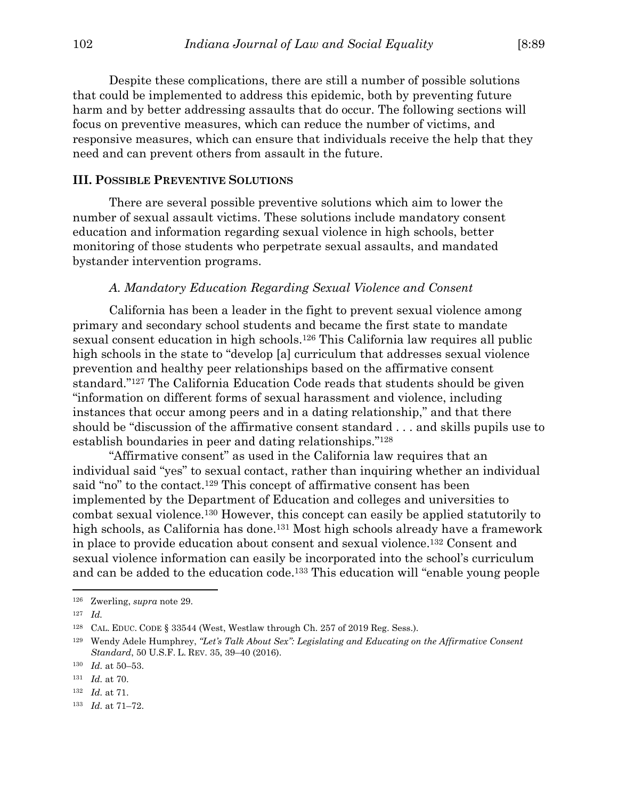Despite these complications, there are still a number of possible solutions that could be implemented to address this epidemic, both by preventing future harm and by better addressing assaults that do occur. The following sections will focus on preventive measures, which can reduce the number of victims, and responsive measures, which can ensure that individuals receive the help that they need and can prevent others from assault in the future.

## **III. POSSIBLE PREVENTIVE SOLUTIONS**

 There are several possible preventive solutions which aim to lower the number of sexual assault victims. These solutions include mandatory consent education and information regarding sexual violence in high schools, better monitoring of those students who perpetrate sexual assaults, and mandated bystander intervention programs.

## *A. Mandatory Education Regarding Sexual Violence and Consent*

 California has been a leader in the fight to prevent sexual violence among primary and secondary school students and became the first state to mandate sexual consent education in high schools.126 This California law requires all public high schools in the state to "develop [a] curriculum that addresses sexual violence prevention and healthy peer relationships based on the affirmative consent standard."127 The California Education Code reads that students should be given "information on different forms of sexual harassment and violence, including instances that occur among peers and in a dating relationship," and that there should be "discussion of the affirmative consent standard . . . and skills pupils use to establish boundaries in peer and dating relationships."128

 "Affirmative consent" as used in the California law requires that an individual said "yes" to sexual contact, rather than inquiring whether an individual said "no" to the contact.<sup>129</sup> This concept of affirmative consent has been implemented by the Department of Education and colleges and universities to combat sexual violence.130 However, this concept can easily be applied statutorily to high schools, as California has done.<sup>131</sup> Most high schools already have a framework in place to provide education about consent and sexual violence.132 Consent and sexual violence information can easily be incorporated into the school's curriculum and can be added to the education code.133 This education will "enable young people

<sup>126</sup> Zwerling, *supra* note 29.

<sup>127</sup> *Id.* 

<sup>128</sup> CAL. EDUC. CODE § 33544 (West, Westlaw through Ch. 257 of 2019 Reg. Sess.).

<sup>129</sup> Wendy Adele Humphrey, *"Let's Talk About Sex": Legislating and Educating on the Affirmative Consent Standard*, 50 U.S.F. L. REV. 35, 39–40 (2016).

<sup>130</sup> *Id.* at 50–53.

<sup>131</sup> *Id.* at 70.

<sup>132</sup> *Id.* at 71.

<sup>133</sup> *Id.* at 71–72.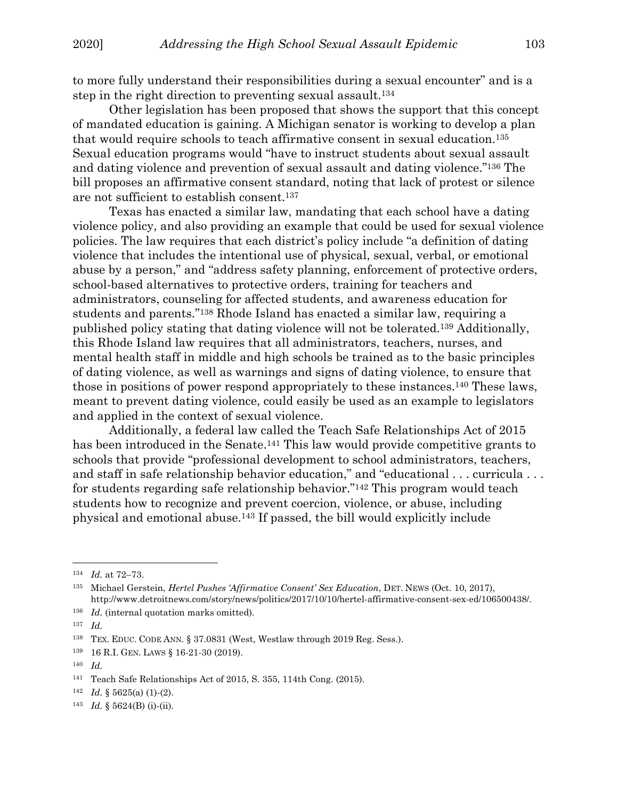to more fully understand their responsibilities during a sexual encounter" and is a step in the right direction to preventing sexual assault.134

 Other legislation has been proposed that shows the support that this concept of mandated education is gaining. A Michigan senator is working to develop a plan that would require schools to teach affirmative consent in sexual education.135 Sexual education programs would "have to instruct students about sexual assault and dating violence and prevention of sexual assault and dating violence."136 The bill proposes an affirmative consent standard, noting that lack of protest or silence are not sufficient to establish consent.137

 Texas has enacted a similar law, mandating that each school have a dating violence policy, and also providing an example that could be used for sexual violence policies. The law requires that each district's policy include "a definition of dating violence that includes the intentional use of physical, sexual, verbal, or emotional abuse by a person," and "address safety planning, enforcement of protective orders, school-based alternatives to protective orders, training for teachers and administrators, counseling for affected students, and awareness education for students and parents."138 Rhode Island has enacted a similar law, requiring a published policy stating that dating violence will not be tolerated.139 Additionally, this Rhode Island law requires that all administrators, teachers, nurses, and mental health staff in middle and high schools be trained as to the basic principles of dating violence, as well as warnings and signs of dating violence, to ensure that those in positions of power respond appropriately to these instances.140 These laws, meant to prevent dating violence, could easily be used as an example to legislators and applied in the context of sexual violence.

 Additionally, a federal law called the Teach Safe Relationships Act of 2015 has been introduced in the Senate.<sup>141</sup> This law would provide competitive grants to schools that provide "professional development to school administrators, teachers, and staff in safe relationship behavior education," and "educational . . . curricula . . . for students regarding safe relationship behavior."142 This program would teach students how to recognize and prevent coercion, violence, or abuse, including physical and emotional abuse.143 If passed, the bill would explicitly include

<sup>134</sup> *Id.* at 72–73.

<sup>135</sup> Michael Gerstein, *Hertel Pushes 'Affirmative Consent' Sex Education*, DET. NEWS (Oct. 10, 2017), http://www.detroitnews.com/story/news/politics/2017/10/10/hertel-affirmative-consent-sex-ed/106500438/.

<sup>&</sup>lt;sup>136</sup> *Id.* (internal quotation marks omitted).

<sup>137</sup> *Id.*

<sup>138</sup> TEX. EDUC. CODE ANN. § 37.0831 (West, Westlaw through 2019 Reg. Sess.).

<sup>139 16</sup> R.I. GEN. LAWS § 16-21-30 (2019).

<sup>140</sup> *Id.*

<sup>141</sup> Teach Safe Relationships Act of 2015, S. 355, 114th Cong. (2015).

 $142$  *Id.* § 5625(a) (1)-(2).

<sup>143</sup> *Id.* § 5624(B) (i)-(ii).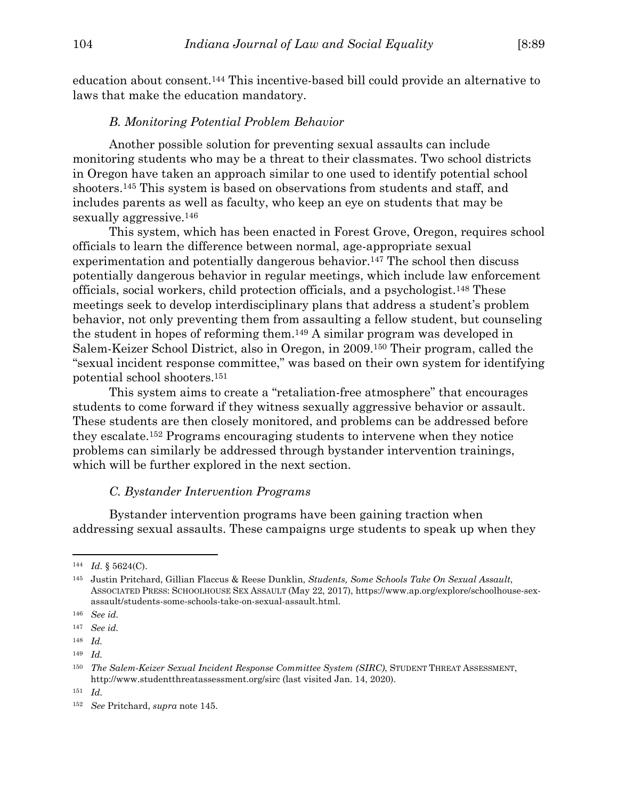education about consent.144 This incentive-based bill could provide an alternative to laws that make the education mandatory.

## *B. Monitoring Potential Problem Behavior*

Another possible solution for preventing sexual assaults can include monitoring students who may be a threat to their classmates. Two school districts in Oregon have taken an approach similar to one used to identify potential school shooters.145 This system is based on observations from students and staff, and includes parents as well as faculty, who keep an eye on students that may be sexually aggressive.<sup>146</sup>

 This system, which has been enacted in Forest Grove, Oregon, requires school officials to learn the difference between normal, age-appropriate sexual experimentation and potentially dangerous behavior.<sup>147</sup> The school then discuss potentially dangerous behavior in regular meetings, which include law enforcement officials, social workers, child protection officials, and a psychologist.148 These meetings seek to develop interdisciplinary plans that address a student's problem behavior, not only preventing them from assaulting a fellow student, but counseling the student in hopes of reforming them.149 A similar program was developed in Salem-Keizer School District, also in Oregon, in 2009.150 Their program, called the "sexual incident response committee," was based on their own system for identifying potential school shooters.151

 This system aims to create a "retaliation-free atmosphere" that encourages students to come forward if they witness sexually aggressive behavior or assault. These students are then closely monitored, and problems can be addressed before they escalate.152 Programs encouraging students to intervene when they notice problems can similarly be addressed through bystander intervention trainings, which will be further explored in the next section.

## *C. Bystander Intervention Programs*

 Bystander intervention programs have been gaining traction when addressing sexual assaults. These campaigns urge students to speak up when they

<sup>144</sup> *Id.* § 5624(C).

<sup>145</sup> Justin Pritchard, Gillian Flaccus & Reese Dunklin, *Students, Some Schools Take On Sexual Assault*, ASSOCIATED PRESS: SCHOOLHOUSE SEX ASSAULT (May 22, 2017), https://www.ap.org/explore/schoolhouse-sexassault/students-some-schools-take-on-sexual-assault.html.

<sup>146</sup> *See id.* 

<sup>147</sup> *See id.* 

<sup>148</sup> *Id.* 

<sup>149</sup> *Id.* 

<sup>150</sup> *The Salem-Keizer Sexual Incident Response Committee System (SIRC)*, STUDENT THREAT ASSESSMENT, http://www.studentthreatassessment.org/sirc (last visited Jan. 14, 2020).

<sup>151</sup> *Id.*

<sup>152</sup> *See* Pritchard, *supra* note 145.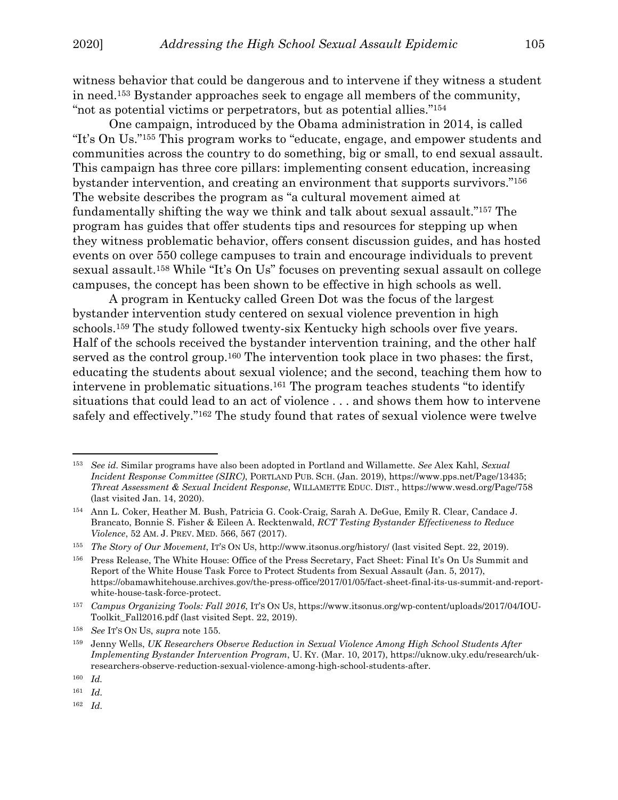witness behavior that could be dangerous and to intervene if they witness a student in need.153 Bystander approaches seek to engage all members of the community, "not as potential victims or perpetrators, but as potential allies."154

One campaign, introduced by the Obama administration in 2014, is called "It's On Us."155 This program works to "educate, engage, and empower students and communities across the country to do something, big or small, to end sexual assault. This campaign has three core pillars: implementing consent education, increasing bystander intervention, and creating an environment that supports survivors."156 The website describes the program as "a cultural movement aimed at fundamentally shifting the way we think and talk about sexual assault."157 The program has guides that offer students tips and resources for stepping up when they witness problematic behavior, offers consent discussion guides, and has hosted events on over 550 college campuses to train and encourage individuals to prevent sexual assault.158 While "It's On Us" focuses on preventing sexual assault on college campuses, the concept has been shown to be effective in high schools as well.

A program in Kentucky called Green Dot was the focus of the largest bystander intervention study centered on sexual violence prevention in high schools.159 The study followed twenty-six Kentucky high schools over five years. Half of the schools received the bystander intervention training, and the other half served as the control group.<sup>160</sup> The intervention took place in two phases: the first, educating the students about sexual violence; and the second, teaching them how to intervene in problematic situations.161 The program teaches students "to identify situations that could lead to an act of violence . . . and shows them how to intervene safely and effectively."162 The study found that rates of sexual violence were twelve

 $\overline{a}$ 

162 *Id.*

<sup>153</sup> *See id.* Similar programs have also been adopted in Portland and Willamette. *See* Alex Kahl, *Sexual Incident Response Committee (SIRC)*, PORTLAND PUB. SCH. (Jan. 2019), https://www.pps.net/Page/13435; *Threat Assessment & Sexual Incident Response*, WILLAMETTE EDUC. DIST., https://www.wesd.org/Page/758 (last visited Jan. 14, 2020).

<sup>154</sup> Ann L. Coker, Heather M. Bush, Patricia G. Cook-Craig, Sarah A. DeGue, Emily R. Clear, Candace J. Brancato, Bonnie S. Fisher & Eileen A. Recktenwald, *RCT Testing Bystander Effectiveness to Reduce Violence*, 52 AM. J. PREV. MED. 566, 567 (2017).

<sup>155</sup> *The Story of Our Movement*, IT'S ON US, http://www.itsonus.org/history/ (last visited Sept. 22, 2019).

<sup>156</sup> Press Release, The White House: Office of the Press Secretary, Fact Sheet: Final It's On Us Summit and Report of the White House Task Force to Protect Students from Sexual Assault (Jan. 5, 2017), https://obamawhitehouse.archives.gov/the-press-office/2017/01/05/fact-sheet-final-its-us-summit-and-reportwhite-house-task-force-protect.

<sup>157</sup> *Campus Organizing Tools: Fall 2016*, IT'S ON US, https://www.itsonus.org/wp-content/uploads/2017/04/IOU-Toolkit\_Fall2016.pdf (last visited Sept. 22, 2019).

<sup>158</sup> *See* IT'S ON US, *supra* note 155.

<sup>159</sup> Jenny Wells, *UK Researchers Observe Reduction in Sexual Violence Among High School Students After Implementing Bystander Intervention Program*, U. KY. (Mar. 10, 2017), https://uknow.uky.edu/research/ukresearchers-observe-reduction-sexual-violence-among-high-school-students-after.

<sup>160</sup> *Id.* 

<sup>161</sup> *Id.*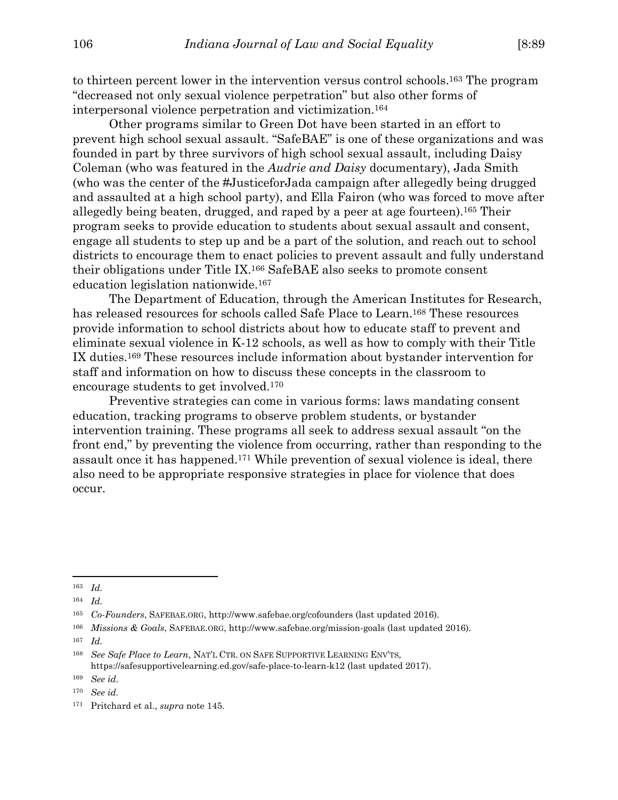to thirteen percent lower in the intervention versus control schools.163 The program "decreased not only sexual violence perpetration" but also other forms of interpersonal violence perpetration and victimization.164

Other programs similar to Green Dot have been started in an effort to prevent high school sexual assault. "SafeBAE" is one of these organizations and was founded in part by three survivors of high school sexual assault, including Daisy Coleman (who was featured in the *Audrie and Daisy* documentary), Jada Smith (who was the center of the #JusticeforJada campaign after allegedly being drugged and assaulted at a high school party), and Ella Fairon (who was forced to move after allegedly being beaten, drugged, and raped by a peer at age fourteen).165 Their program seeks to provide education to students about sexual assault and consent, engage all students to step up and be a part of the solution, and reach out to school districts to encourage them to enact policies to prevent assault and fully understand their obligations under Title IX.166 SafeBAE also seeks to promote consent education legislation nationwide.167

The Department of Education, through the American Institutes for Research, has released resources for schools called Safe Place to Learn.168 These resources provide information to school districts about how to educate staff to prevent and eliminate sexual violence in K-12 schools, as well as how to comply with their Title IX duties.169 These resources include information about bystander intervention for staff and information on how to discuss these concepts in the classroom to encourage students to get involved.170

Preventive strategies can come in various forms: laws mandating consent education, tracking programs to observe problem students, or bystander intervention training. These programs all seek to address sexual assault "on the front end," by preventing the violence from occurring, rather than responding to the assault once it has happened.171 While prevention of sexual violence is ideal, there also need to be appropriate responsive strategies in place for violence that does occur.

 $\overline{a}$ 

167 *Id.* 

<sup>163</sup> *Id.* 

<sup>164</sup> *Id.*

<sup>165</sup> *Co-Founders*, SAFEBAE.ORG, http://www.safebae.org/cofounders (last updated 2016).

<sup>166</sup> *Missions & Goals*, SAFEBAE.ORG, http://www.safebae.org/mission-goals (last updated 2016).

<sup>168</sup> *See Safe Place to Learn*, NAT'L CTR. ON SAFE SUPPORTIVE LEARNING ENV'TS, https://safesupportivelearning.ed.gov/safe-place-to-learn-k12 (last updated 2017).

<sup>169</sup> *See id.*

<sup>170</sup> *See id.*

<sup>171</sup> Pritchard et al., *supra* note 145.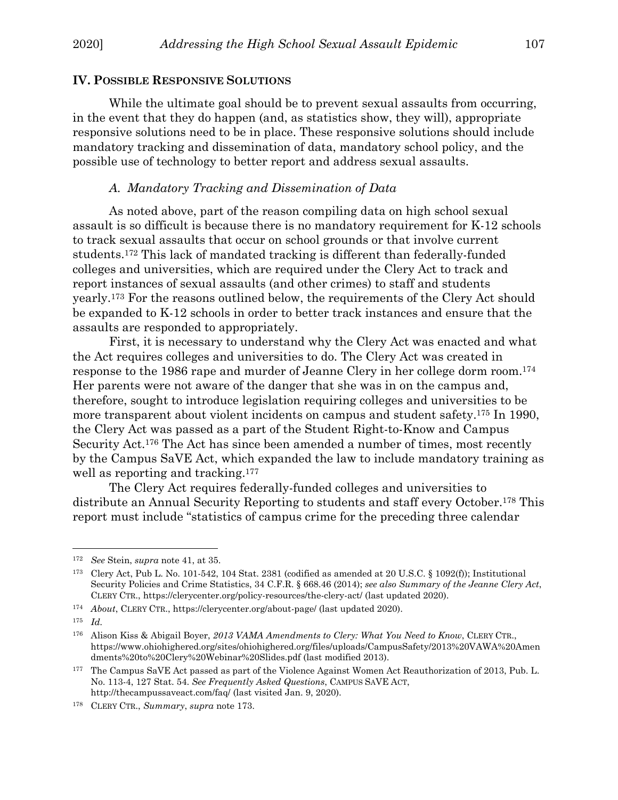#### **IV. POSSIBLE RESPONSIVE SOLUTIONS**

While the ultimate goal should be to prevent sexual assaults from occurring, in the event that they do happen (and, as statistics show, they will), appropriate responsive solutions need to be in place. These responsive solutions should include mandatory tracking and dissemination of data, mandatory school policy, and the possible use of technology to better report and address sexual assaults.

## *A. Mandatory Tracking and Dissemination of Data*

As noted above, part of the reason compiling data on high school sexual assault is so difficult is because there is no mandatory requirement for K-12 schools to track sexual assaults that occur on school grounds or that involve current students.172 This lack of mandated tracking is different than federally-funded colleges and universities, which are required under the Clery Act to track and report instances of sexual assaults (and other crimes) to staff and students yearly.173 For the reasons outlined below, the requirements of the Clery Act should be expanded to K-12 schools in order to better track instances and ensure that the assaults are responded to appropriately.

First, it is necessary to understand why the Clery Act was enacted and what the Act requires colleges and universities to do. The Clery Act was created in response to the 1986 rape and murder of Jeanne Clery in her college dorm room.174 Her parents were not aware of the danger that she was in on the campus and, therefore, sought to introduce legislation requiring colleges and universities to be more transparent about violent incidents on campus and student safety.175 In 1990, the Clery Act was passed as a part of the Student Right-to-Know and Campus Security Act.176 The Act has since been amended a number of times, most recently by the Campus SaVE Act, which expanded the law to include mandatory training as well as reporting and tracking.<sup>177</sup>

The Clery Act requires federally-funded colleges and universities to distribute an Annual Security Reporting to students and staff every October.178 This report must include "statistics of campus crime for the preceding three calendar

<sup>172</sup> *See* Stein, *supra* note 41, at 35.

<sup>173</sup> Clery Act, Pub L. No. 101-542, 104 Stat. 2381 (codified as amended at 20 U.S.C. § 1092(f)); Institutional Security Policies and Crime Statistics, 34 C.F.R. § 668.46 (2014); *see also Summary of the Jeanne Clery Act*, CLERY CTR., https://clerycenter.org/policy-resources/the-clery-act/ (last updated 2020).

<sup>174</sup> *About*, CLERY CTR., https://clerycenter.org/about-page/ (last updated 2020).

<sup>175</sup> *Id.*

<sup>176</sup> Alison Kiss & Abigail Boyer, *2013 VAMA Amendments to Clery: What You Need to Know*, CLERY CTR., https://www.ohiohighered.org/sites/ohiohighered.org/files/uploads/CampusSafety/2013%20VAWA%20Amen dments%20to%20Clery%20Webinar%20Slides.pdf (last modified 2013).

<sup>177</sup> The Campus SaVE Act passed as part of the Violence Against Women Act Reauthorization of 2013, Pub. L. No. 113-4, 127 Stat. 54. *See Frequently Asked Questions*, CAMPUS SAVE ACT, http://thecampussaveact.com/faq/ (last visited Jan. 9, 2020).

<sup>178</sup> CLERY CTR., *Summary*, *supra* note 173.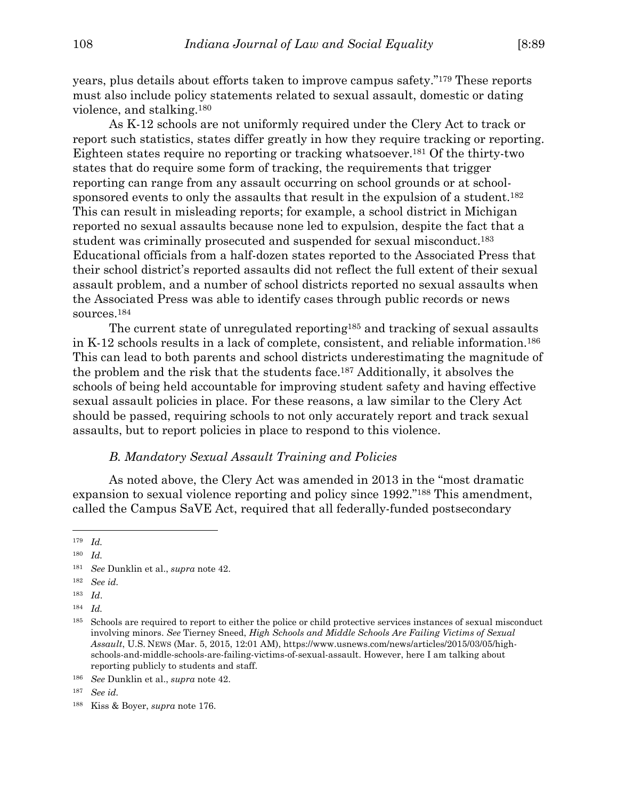years, plus details about efforts taken to improve campus safety."179 These reports must also include policy statements related to sexual assault, domestic or dating violence, and stalking.180

 As K-12 schools are not uniformly required under the Clery Act to track or report such statistics, states differ greatly in how they require tracking or reporting. Eighteen states require no reporting or tracking whatsoever.181 Of the thirty-two states that do require some form of tracking, the requirements that trigger reporting can range from any assault occurring on school grounds or at schoolsponsored events to only the assaults that result in the expulsion of a student.<sup>182</sup> This can result in misleading reports; for example, a school district in Michigan reported no sexual assaults because none led to expulsion, despite the fact that a student was criminally prosecuted and suspended for sexual misconduct.183 Educational officials from a half-dozen states reported to the Associated Press that their school district's reported assaults did not reflect the full extent of their sexual assault problem, and a number of school districts reported no sexual assaults when the Associated Press was able to identify cases through public records or news sources.184

 The current state of unregulated reporting185 and tracking of sexual assaults in K-12 schools results in a lack of complete, consistent, and reliable information.186 This can lead to both parents and school districts underestimating the magnitude of the problem and the risk that the students face.187 Additionally, it absolves the schools of being held accountable for improving student safety and having effective sexual assault policies in place. For these reasons, a law similar to the Clery Act should be passed, requiring schools to not only accurately report and track sexual assaults, but to report policies in place to respond to this violence.

## *B. Mandatory Sexual Assault Training and Policies*

 As noted above, the Clery Act was amended in 2013 in the "most dramatic expansion to sexual violence reporting and policy since 1992."188 This amendment, called the Campus SaVE Act, required that all federally-funded postsecondary

 $\overline{a}$ 

184 *Id.* 

<sup>179</sup> *Id.* 

<sup>180</sup> *Id.* 

<sup>181</sup> *See* Dunklin et al., *supra* note 42.

<sup>182</sup> *See id.* 

<sup>183</sup> *Id*.

<sup>185</sup> Schools are required to report to either the police or child protective services instances of sexual misconduct involving minors. *See* Tierney Sneed, *High Schools and Middle Schools Are Failing Victims of Sexual Assault*, U.S. NEWS (Mar. 5, 2015, 12:01 AM), https://www.usnews.com/news/articles/2015/03/05/highschools-and-middle-schools-are-failing-victims-of-sexual-assault. However, here I am talking about reporting publicly to students and staff.

<sup>186</sup> *See* Dunklin et al., *supra* note 42.

<sup>187</sup> *See id.*

<sup>188</sup> Kiss & Boyer, *supra* note 176.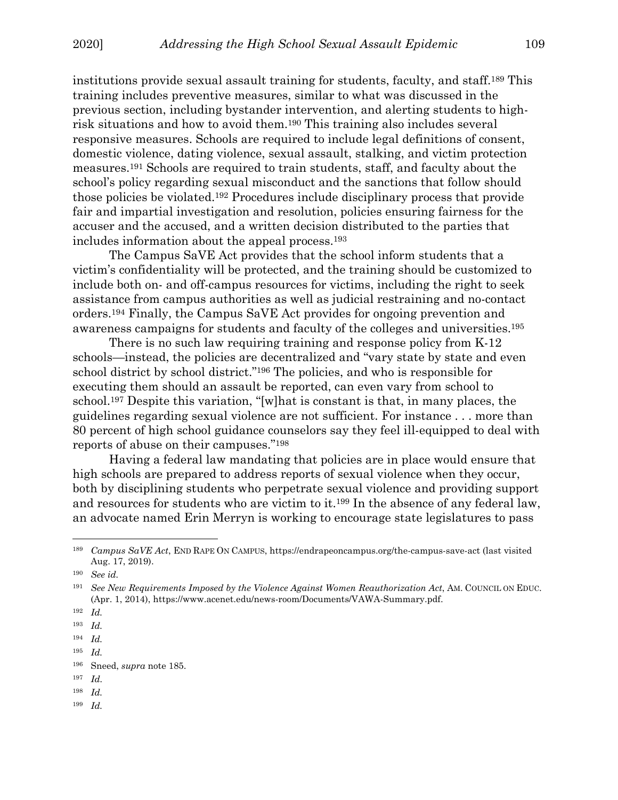institutions provide sexual assault training for students, faculty, and staff.189 This training includes preventive measures, similar to what was discussed in the previous section, including bystander intervention, and alerting students to highrisk situations and how to avoid them.190 This training also includes several responsive measures. Schools are required to include legal definitions of consent, domestic violence, dating violence, sexual assault, stalking, and victim protection measures.191 Schools are required to train students, staff, and faculty about the school's policy regarding sexual misconduct and the sanctions that follow should those policies be violated.192 Procedures include disciplinary process that provide fair and impartial investigation and resolution, policies ensuring fairness for the accuser and the accused, and a written decision distributed to the parties that includes information about the appeal process.193

 The Campus SaVE Act provides that the school inform students that a victim's confidentiality will be protected, and the training should be customized to include both on- and off-campus resources for victims, including the right to seek assistance from campus authorities as well as judicial restraining and no-contact orders.194 Finally, the Campus SaVE Act provides for ongoing prevention and awareness campaigns for students and faculty of the colleges and universities.195

 There is no such law requiring training and response policy from K-12 schools—instead, the policies are decentralized and "vary state by state and even school district by school district."196 The policies, and who is responsible for executing them should an assault be reported, can even vary from school to school.197 Despite this variation, "[w]hat is constant is that, in many places, the guidelines regarding sexual violence are not sufficient. For instance . . . more than 80 percent of high school guidance counselors say they feel ill-equipped to deal with reports of abuse on their campuses."198

 Having a federal law mandating that policies are in place would ensure that high schools are prepared to address reports of sexual violence when they occur, both by disciplining students who perpetrate sexual violence and providing support and resources for students who are victim to it.199 In the absence of any federal law, an advocate named Erin Merryn is working to encourage state legislatures to pass

<sup>189</sup> *Campus SaVE Act*, END RAPE ON CAMPUS, https://endrapeoncampus.org/the-campus-save-act (last visited Aug. 17, 2019).

<sup>190</sup> *See id.*

<sup>191</sup> *See New Requirements Imposed by the Violence Against Women Reauthorization Act*, AM. COUNCIL ON EDUC. (Apr. 1, 2014), https://www.acenet.edu/news-room/Documents/VAWA-Summary.pdf.

<sup>192</sup> *Id.* 

<sup>193</sup> *Id.* 

<sup>194</sup> *Id.* 

<sup>195</sup> *Id.* 

<sup>196</sup> Sneed, *supra* note 185.

<sup>197</sup> *Id.*

<sup>198</sup> *Id.* 

<sup>199</sup> *Id.*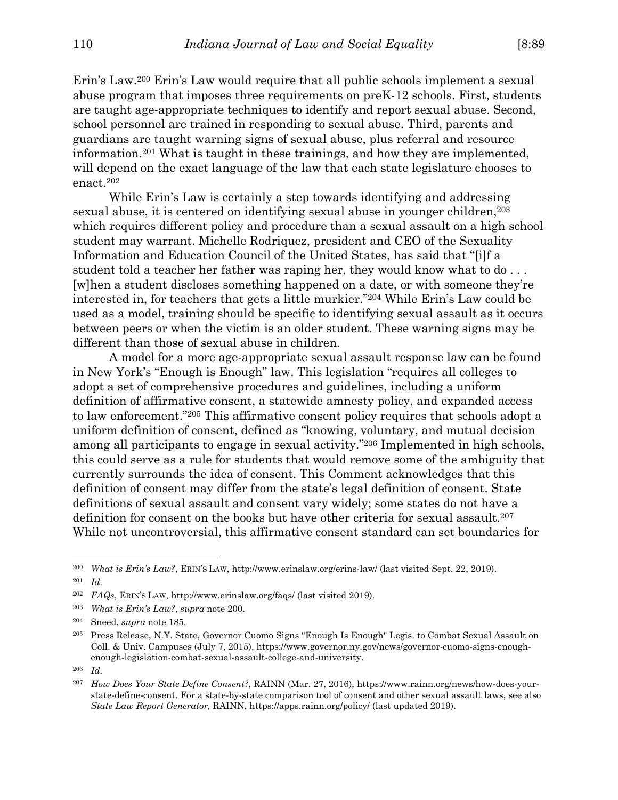Erin's Law.200 Erin's Law would require that all public schools implement a sexual abuse program that imposes three requirements on preK-12 schools. First, students are taught age-appropriate techniques to identify and report sexual abuse. Second, school personnel are trained in responding to sexual abuse. Third, parents and guardians are taught warning signs of sexual abuse, plus referral and resource information.201 What is taught in these trainings, and how they are implemented, will depend on the exact language of the law that each state legislature chooses to enact.202

 While Erin's Law is certainly a step towards identifying and addressing sexual abuse, it is centered on identifying sexual abuse in younger children,203 which requires different policy and procedure than a sexual assault on a high school student may warrant. Michelle Rodriquez, president and CEO of the Sexuality Information and Education Council of the United States, has said that "[i]f a student told a teacher her father was raping her, they would know what to do . . . [w]hen a student discloses something happened on a date, or with someone they're interested in, for teachers that gets a little murkier."204 While Erin's Law could be used as a model, training should be specific to identifying sexual assault as it occurs between peers or when the victim is an older student. These warning signs may be different than those of sexual abuse in children.

 A model for a more age-appropriate sexual assault response law can be found in New York's "Enough is Enough" law. This legislation "requires all colleges to adopt a set of comprehensive procedures and guidelines, including a uniform definition of affirmative consent, a statewide amnesty policy, and expanded access to law enforcement."205 This affirmative consent policy requires that schools adopt a uniform definition of consent, defined as "knowing, voluntary, and mutual decision among all participants to engage in sexual activity."206 Implemented in high schools, this could serve as a rule for students that would remove some of the ambiguity that currently surrounds the idea of consent. This Comment acknowledges that this definition of consent may differ from the state's legal definition of consent. State definitions of sexual assault and consent vary widely; some states do not have a definition for consent on the books but have other criteria for sexual assault.207 While not uncontroversial, this affirmative consent standard can set boundaries for

<sup>200</sup> *What is Erin's Law?*, ERIN'S LAW, http://www.erinslaw.org/erins-law/ (last visited Sept. 22, 2019). 201 *Id.*

<sup>202</sup> *FAQs*, ERIN'S LAW, http://www.erinslaw.org/faqs/ (last visited 2019).

<sup>203</sup> *What is Erin's Law?*, *supra* note 200.

<sup>204</sup> Sneed, *supra* note 185.

<sup>205</sup> Press Release, N.Y. State, Governor Cuomo Signs "Enough Is Enough" Legis. to Combat Sexual Assault on Coll. & Univ. Campuses (July 7, 2015), https://www.governor.ny.gov/news/governor-cuomo-signs-enoughenough-legislation-combat-sexual-assault-college-and-university.

<sup>206</sup> *Id.*

<sup>207</sup> *How Does Your State Define Consent?*, RAINN (Mar. 27, 2016), https://www.rainn.org/news/how-does-yourstate-define-consent. For a state-by-state comparison tool of consent and other sexual assault laws, see also *State Law Report Generator,* RAINN, https://apps.rainn.org/policy/ (last updated 2019).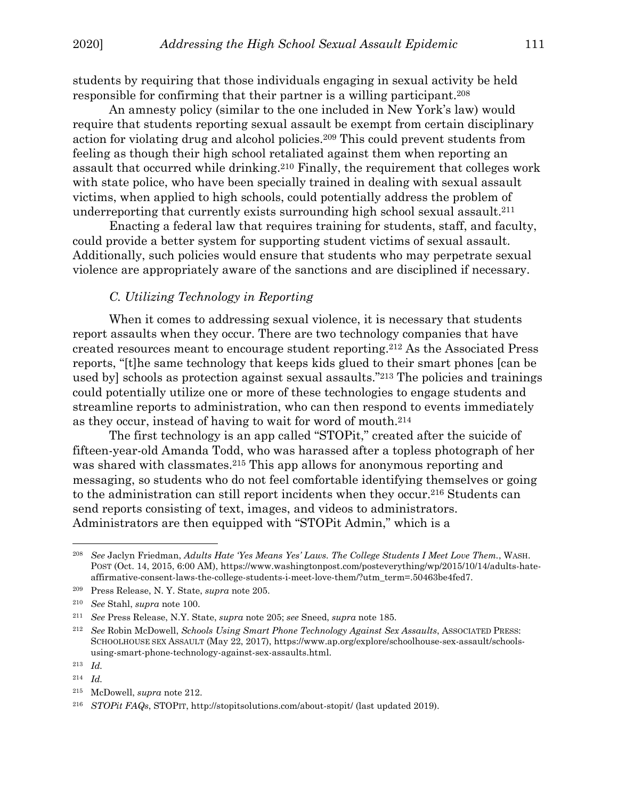students by requiring that those individuals engaging in sexual activity be held responsible for confirming that their partner is a willing participant.208

An amnesty policy (similar to the one included in New York's law) would require that students reporting sexual assault be exempt from certain disciplinary action for violating drug and alcohol policies.209 This could prevent students from feeling as though their high school retaliated against them when reporting an assault that occurred while drinking.210 Finally, the requirement that colleges work with state police, who have been specially trained in dealing with sexual assault victims, when applied to high schools, could potentially address the problem of underreporting that currently exists surrounding high school sexual assault.211

 Enacting a federal law that requires training for students, staff, and faculty, could provide a better system for supporting student victims of sexual assault. Additionally, such policies would ensure that students who may perpetrate sexual violence are appropriately aware of the sanctions and are disciplined if necessary.

## *C. Utilizing Technology in Reporting*

When it comes to addressing sexual violence, it is necessary that students report assaults when they occur. There are two technology companies that have created resources meant to encourage student reporting.212 As the Associated Press reports, "[t]he same technology that keeps kids glued to their smart phones [can be used by] schools as protection against sexual assaults."213 The policies and trainings could potentially utilize one or more of these technologies to engage students and streamline reports to administration, who can then respond to events immediately as they occur, instead of having to wait for word of mouth.214

 The first technology is an app called "STOPit," created after the suicide of fifteen-year-old Amanda Todd, who was harassed after a topless photograph of her was shared with classmates.<sup>215</sup> This app allows for anonymous reporting and messaging, so students who do not feel comfortable identifying themselves or going to the administration can still report incidents when they occur.<sup>216</sup> Students can send reports consisting of text, images, and videos to administrators. Administrators are then equipped with "STOPit Admin," which is a

<sup>208</sup> *See* Jaclyn Friedman, *Adults Hate 'Yes Means Yes' Laws. The College Students I Meet Love Them.*, WASH. POST (Oct. 14, 2015, 6:00 AM), https://www.washingtonpost.com/posteverything/wp/2015/10/14/adults-hateaffirmative-consent-laws-the-college-students-i-meet-love-them/?utm\_term=.50463be4fed7.

<sup>209</sup> Press Release, N. Y. State, *supra* note 205.

<sup>210</sup> *See* Stahl, *supra* note 100.

<sup>211</sup> *See* Press Release, N.Y. State, *supra* note 205; *see* Sneed, *supra* note 185.

<sup>212</sup> *See* Robin McDowell, *Schools Using Smart Phone Technology Against Sex Assaults*, ASSOCIATED PRESS: SCHOOLHOUSE SEX ASSAULT (May 22, 2017), https://www.ap.org/explore/schoolhouse-sex-assault/schoolsusing-smart-phone-technology-against-sex-assaults.html.

<sup>213</sup> *Id.* 

<sup>214</sup> *Id.* 

<sup>215</sup> McDowell, *supra* note 212.

<sup>216</sup> *STOPit FAQs*, STOPIT, http://stopitsolutions.com/about-stopit/ (last updated 2019).